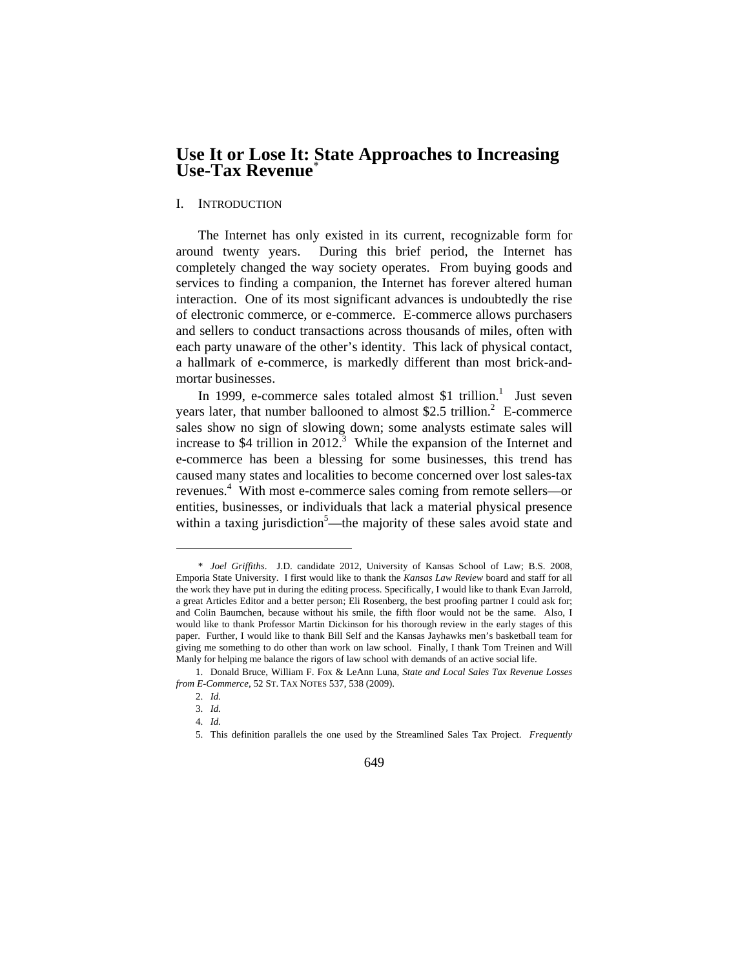# **Use It or Lose It: State Approaches to Increasing Use-Tax Revenue**

# I. INTRODUCTION

The Internet has only existed in its current, recognizable form for around twenty years. During this brief period, the Internet has completely changed the way society operates. From buying goods and services to finding a companion, the Internet has forever altered human interaction. One of its most significant advances is undoubtedly the rise of electronic commerce, or e-commerce. E-commerce allows purchasers and sellers to conduct transactions across thousands of miles, often with each party unaware of the other's identity. This lack of physical contact, a hallmark of e-commerce, is markedly different than most brick-andmortar businesses.

In 1999, e-commerce sales totaled almost \$1 trillion.<sup>1</sup> Just seven years later, that number ballooned to almost \$2.5 trillion.<sup>2</sup> E-commerce sales show no sign of slowing down; some analysts estimate sales will increase to \$4 trillion in 2012.<sup>3</sup> While the expansion of the Internet and e-commerce has been a blessing for some businesses, this trend has caused many states and localities to become concerned over lost sales-tax revenues.<sup>4</sup> With most e-commerce sales coming from remote sellers—or entities, businesses, or individuals that lack a material physical presence within a taxing jurisdiction<sup>5</sup>—the majority of these sales avoid state and

 <sup>\*</sup> *Joel Griffiths*. J.D. candidate 2012, University of Kansas School of Law; B.S. 2008, Emporia State University. I first would like to thank the *Kansas Law Review* board and staff for all the work they have put in during the editing process. Specifically, I would like to thank Evan Jarrold, a great Articles Editor and a better person; Eli Rosenberg, the best proofing partner I could ask for; and Colin Baumchen, because without his smile, the fifth floor would not be the same. Also, I would like to thank Professor Martin Dickinson for his thorough review in the early stages of this paper. Further, I would like to thank Bill Self and the Kansas Jayhawks men's basketball team for giving me something to do other than work on law school. Finally, I thank Tom Treinen and Will Manly for helping me balance the rigors of law school with demands of an active social life.

 <sup>1.</sup> Donald Bruce, William F. Fox & LeAnn Luna, *State and Local Sales Tax Revenue Losses from E-Commerce*, 52 ST. TAX NOTES 537, 538 (2009).

<sup>2.</sup> *Id.*

<sup>3.</sup> *Id.*

<sup>4.</sup> *Id.*

<sup>5.</sup> This definition parallels the one used by the Streamlined Sales Tax Project. *Frequently* 

<sup>649</sup>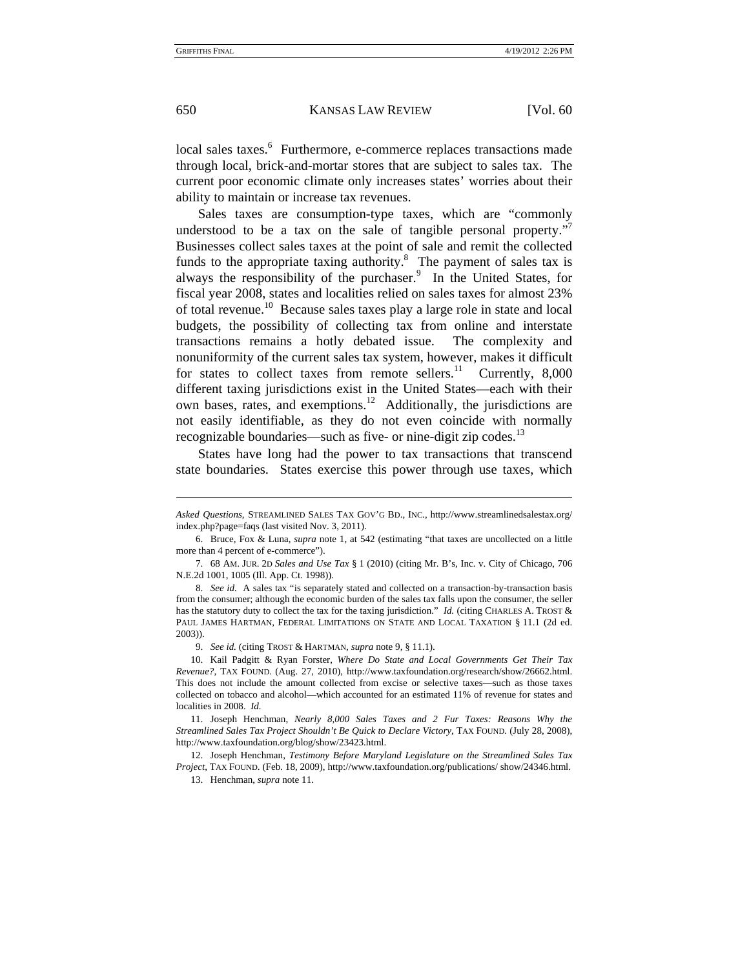local sales taxes.<sup>6</sup> Furthermore, e-commerce replaces transactions made through local, brick-and-mortar stores that are subject to sales tax. The current poor economic climate only increases states' worries about their ability to maintain or increase tax revenues.

Sales taxes are consumption-type taxes, which are "commonly understood to be a tax on the sale of tangible personal property. $\cdot^{\cdot7}$ Businesses collect sales taxes at the point of sale and remit the collected funds to the appropriate taxing authority. $8$  The payment of sales tax is always the responsibility of the purchaser.<sup>9</sup> In the United States, for fiscal year 2008, states and localities relied on sales taxes for almost 23% of total revenue.10 Because sales taxes play a large role in state and local budgets, the possibility of collecting tax from online and interstate transactions remains a hotly debated issue. The complexity and nonuniformity of the current sales tax system, however, makes it difficult for states to collect taxes from remote sellers.<sup>11</sup> Currently, 8,000 different taxing jurisdictions exist in the United States—each with their own bases, rates, and exemptions.12 Additionally, the jurisdictions are not easily identifiable, as they do not even coincide with normally recognizable boundaries—such as five- or nine-digit zip codes.<sup>13</sup>

States have long had the power to tax transactions that transcend state boundaries. States exercise this power through use taxes, which

*Asked Questions*, STREAMLINED SALES TAX GOV'G BD., INC., http://www.streamlinedsalestax.org/ index.php?page=faqs (last visited Nov. 3, 2011).

 <sup>6.</sup> Bruce, Fox & Luna, *supra* note 1, at 542 (estimating "that taxes are uncollected on a little more than 4 percent of e-commerce").

 <sup>7. 68</sup> AM. JUR. 2D *Sales and Use Tax* § 1 (2010) (citing Mr. B's, Inc. v. City of Chicago, 706 N.E.2d 1001, 1005 (Ill. App. Ct. 1998)).

<sup>8.</sup> *See id.* A sales tax "is separately stated and collected on a transaction-by-transaction basis from the consumer; although the economic burden of the sales tax falls upon the consumer, the seller has the statutory duty to collect the tax for the taxing jurisdiction." *Id.* (citing CHARLES A. TROST  $\&$ PAUL JAMES HARTMAN, FEDERAL LIMITATIONS ON STATE AND LOCAL TAXATION § 11.1 (2d ed. 2003)).

<sup>9.</sup> *See id.* (citing TROST & HARTMAN, *supra* note 9, § 11.1).

 <sup>10.</sup> Kail Padgitt & Ryan Forster, *Where Do State and Local Governments Get Their Tax Revenue?*, TAX FOUND. (Aug. 27, 2010), http://www.taxfoundation.org/research/show/26662.html. This does not include the amount collected from excise or selective taxes—such as those taxes collected on tobacco and alcohol—which accounted for an estimated 11% of revenue for states and localities in 2008. *Id.*

 <sup>11.</sup> Joseph Henchman, *Nearly 8,000 Sales Taxes and 2 Fur Taxes: Reasons Why the Streamlined Sales Tax Project Shouldn't Be Quick to Declare Victory*, TAX FOUND. (July 28, 2008), http://www.taxfoundation.org/blog/show/23423.html.

 <sup>12.</sup> Joseph Henchman, *Testimony Before Maryland Legislature on the Streamlined Sales Tax Project*, TAX FOUND. (Feb. 18, 2009), http://www.taxfoundation.org/publications/ show/24346.html.

 <sup>13.</sup> Henchman, *supra* note 11.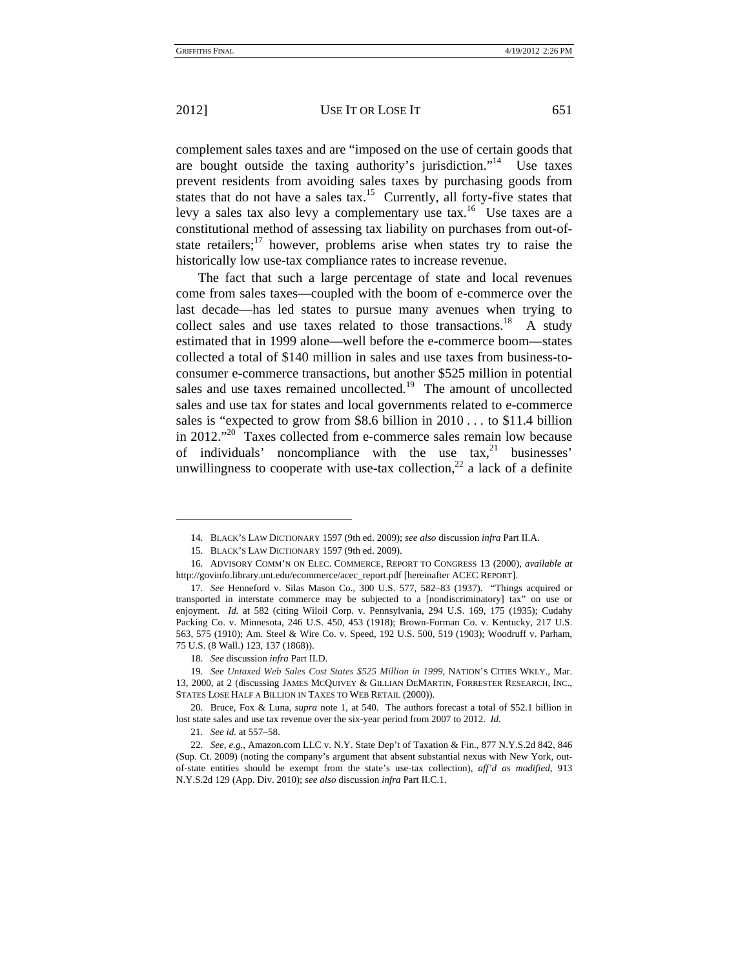$\overline{a}$ 

2012] USE IT OR LOSE IT 651

complement sales taxes and are "imposed on the use of certain goods that are bought outside the taxing authority's jurisdiction."<sup>14</sup> Use taxes prevent residents from avoiding sales taxes by purchasing goods from states that do not have a sales tax.<sup>15</sup> Currently, all forty-five states that levy a sales tax also levy a complementary use  $\text{tax.}^{16}$  Use taxes are a constitutional method of assessing tax liability on purchases from out-ofstate retailers; $17$  however, problems arise when states try to raise the historically low use-tax compliance rates to increase revenue.

The fact that such a large percentage of state and local revenues come from sales taxes—coupled with the boom of e-commerce over the last decade—has led states to pursue many avenues when trying to collect sales and use taxes related to those transactions.<sup>18</sup> A study estimated that in 1999 alone—well before the e-commerce boom—states collected a total of \$140 million in sales and use taxes from business-toconsumer e-commerce transactions, but another \$525 million in potential sales and use taxes remained uncollected.<sup>19</sup> The amount of uncollected sales and use tax for states and local governments related to e-commerce sales is "expected to grow from \$8.6 billion in 2010 . . . to \$11.4 billion in 2012."20 Taxes collected from e-commerce sales remain low because of individuals' noncompliance with the use  $\text{tax},^{21}$  businesses' unwillingness to cooperate with use-tax collection,<sup>22</sup> a lack of a definite

 <sup>14.</sup> BLACK'S LAW DICTIONARY 1597 (9th ed. 2009); *see also* discussion *infra* Part II.A.

 <sup>15.</sup> BLACK'S LAW DICTIONARY 1597 (9th ed. 2009).

 <sup>16.</sup> ADVISORY COMM'N ON ELEC. COMMERCE, REPORT TO CONGRESS 13 (2000), *available at* http://govinfo.library.unt.edu/ecommerce/acec\_report.pdf [hereinafter ACEC REPORT].

<sup>17.</sup> *See* Henneford v. Silas Mason Co., 300 U.S. 577, 582–83 (1937). "Things acquired or transported in interstate commerce may be subjected to a [nondiscriminatory] tax" on use or enjoyment. *Id.* at 582 (citing Wiloil Corp. v. Pennsylvania, 294 U.S. 169, 175 (1935); Cudahy Packing Co. v. Minnesota, 246 U.S. 450, 453 (1918); Brown-Forman Co. v. Kentucky, 217 U.S. 563, 575 (1910); Am. Steel & Wire Co. v. Speed, 192 U.S. 500, 519 (1903); Woodruff v. Parham, 75 U.S. (8 Wall.) 123, 137 (1868)).

<sup>18.</sup> *See* discussion *infra* Part II.D.

<sup>19.</sup> *See Untaxed Web Sales Cost States \$525 Million in 1999*, NATION'S CITIES WKLY., Mar. 13, 2000, at 2 (discussing JAMES MCQUIVEY & GILLIAN DEMARTIN, FORRESTER RESEARCH, INC., STATES LOSE HALF A BILLION IN TAXES TO WEB RETAIL (2000)).

 <sup>20.</sup> Bruce, Fox & Luna, *supra* note 1, at 540. The authors forecast a total of \$52.1 billion in lost state sales and use tax revenue over the six-year period from 2007 to 2012. *Id.*

<sup>21.</sup> *See id.* at 557–58.

<sup>22.</sup> *See, e.g.*, Amazon.com LLC v. N.Y. State Dep't of Taxation & Fin., 877 N.Y.S.2d 842, 846 (Sup. Ct. 2009) (noting the company's argument that absent substantial nexus with New York, outof-state entities should be exempt from the state's use-tax collection), *aff'd as modified*, 913 N.Y.S.2d 129 (App. Div. 2010); *see also* discussion *infra* Part II.C.1.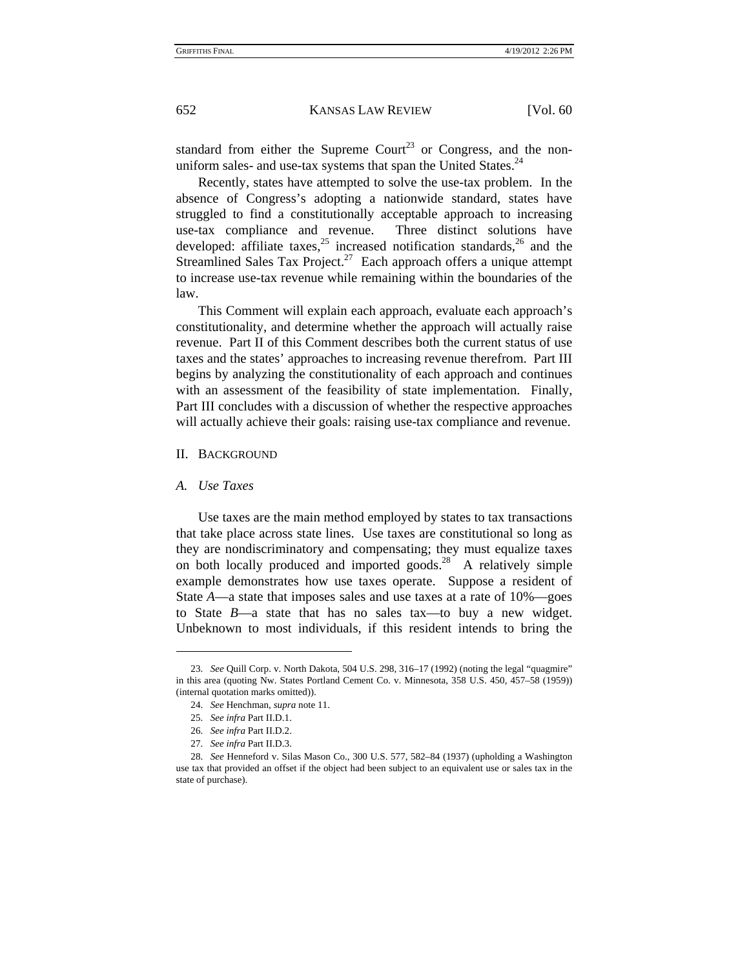standard from either the Supreme Court<sup>23</sup> or Congress, and the nonuniform sales- and use-tax systems that span the United States. $^{24}$ 

Recently, states have attempted to solve the use-tax problem. In the absence of Congress's adopting a nationwide standard, states have struggled to find a constitutionally acceptable approach to increasing use-tax compliance and revenue. Three distinct solutions have developed: affiliate taxes,  $25$  increased notification standards,  $26$  and the Streamlined Sales Tax Project.<sup>27</sup> Each approach offers a unique attempt to increase use-tax revenue while remaining within the boundaries of the law.

This Comment will explain each approach, evaluate each approach's constitutionality, and determine whether the approach will actually raise revenue. Part II of this Comment describes both the current status of use taxes and the states' approaches to increasing revenue therefrom. Part III begins by analyzing the constitutionality of each approach and continues with an assessment of the feasibility of state implementation. Finally, Part III concludes with a discussion of whether the respective approaches will actually achieve their goals: raising use-tax compliance and revenue.

### II. BACKGROUND

#### *A. Use Taxes*

 $\overline{a}$ 

Use taxes are the main method employed by states to tax transactions that take place across state lines. Use taxes are constitutional so long as they are nondiscriminatory and compensating; they must equalize taxes on both locally produced and imported goods.<sup>28</sup> A relatively simple example demonstrates how use taxes operate. Suppose a resident of State *A*—a state that imposes sales and use taxes at a rate of 10%—goes to State *B*—a state that has no sales tax—to buy a new widget. Unbeknown to most individuals, if this resident intends to bring the

<sup>23.</sup> *See* Quill Corp. v. North Dakota, 504 U.S. 298, 316–17 (1992) (noting the legal "quagmire" in this area (quoting Nw. States Portland Cement Co. v. Minnesota, 358 U.S. 450, 457–58 (1959)) (internal quotation marks omitted)).

<sup>24.</sup> *See* Henchman, *supra* note 11.

<sup>25.</sup> *See infra* Part II.D.1.

<sup>26.</sup> *See infra* Part II.D.2.

<sup>27.</sup> *See infra* Part II.D.3.

<sup>28.</sup> *See* Henneford v. Silas Mason Co., 300 U.S. 577, 582–84 (1937) (upholding a Washington use tax that provided an offset if the object had been subject to an equivalent use or sales tax in the state of purchase).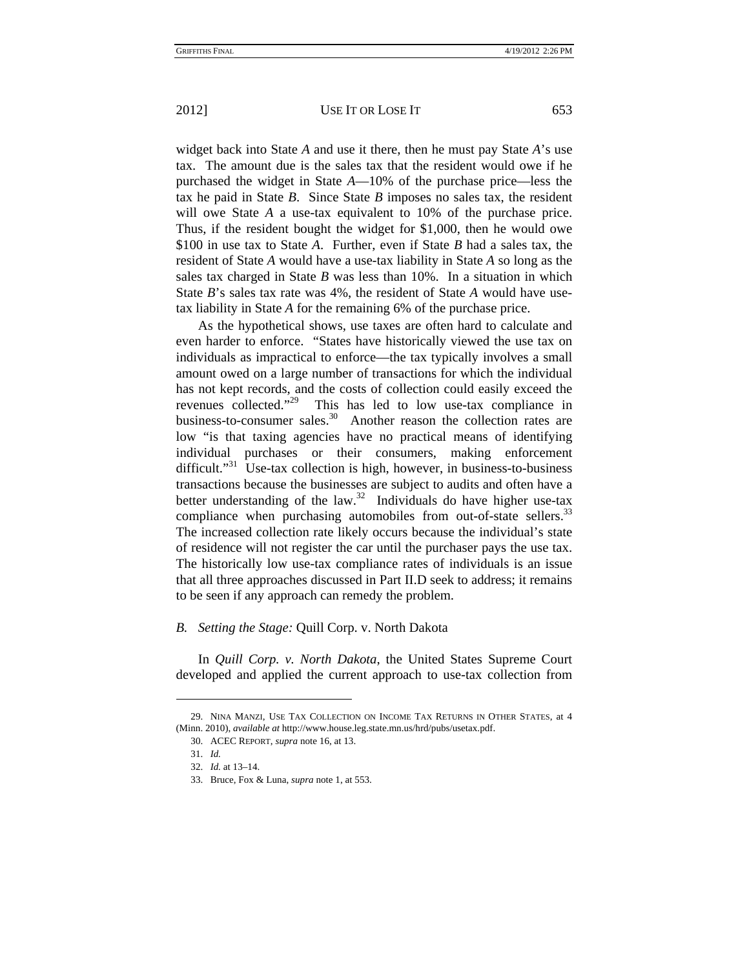widget back into State *A* and use it there, then he must pay State *A*'s use tax. The amount due is the sales tax that the resident would owe if he purchased the widget in State *A*—10% of the purchase price—less the tax he paid in State *B*. Since State *B* imposes no sales tax, the resident will owe State *A* a use-tax equivalent to 10% of the purchase price. Thus, if the resident bought the widget for \$1,000, then he would owe \$100 in use tax to State *A*. Further, even if State *B* had a sales tax, the resident of State *A* would have a use-tax liability in State *A* so long as the sales tax charged in State *B* was less than 10%. In a situation in which State *B*'s sales tax rate was 4%, the resident of State *A* would have usetax liability in State *A* for the remaining 6% of the purchase price.

As the hypothetical shows, use taxes are often hard to calculate and even harder to enforce. "States have historically viewed the use tax on individuals as impractical to enforce—the tax typically involves a small amount owed on a large number of transactions for which the individual has not kept records, and the costs of collection could easily exceed the revenues collected."29 This has led to low use-tax compliance in business-to-consumer sales.<sup>30</sup> Another reason the collection rates are low "is that taxing agencies have no practical means of identifying individual purchases or their consumers, making enforcement difficult."<sup>31</sup> Use-tax collection is high, however, in business-to-business transactions because the businesses are subject to audits and often have a better understanding of the law.<sup>32</sup> Individuals do have higher use-tax compliance when purchasing automobiles from out-of-state sellers.<sup>33</sup> The increased collection rate likely occurs because the individual's state of residence will not register the car until the purchaser pays the use tax. The historically low use-tax compliance rates of individuals is an issue that all three approaches discussed in Part II.D seek to address; it remains to be seen if any approach can remedy the problem.

### *B. Setting the Stage:* Quill Corp. v. North Dakota

In *Quill Corp. v. North Dakota*, the United States Supreme Court developed and applied the current approach to use-tax collection from

 <sup>29.</sup> NINA MANZI, USE TAX COLLECTION ON INCOME TAX RETURNS IN OTHER STATES, at 4 (Minn. 2010), *available at* http://www.house.leg.state.mn.us/hrd/pubs/usetax.pdf.

 <sup>30.</sup> ACEC REPORT, *supra* note 16, at 13.

<sup>31.</sup> *Id.*

<sup>32.</sup> *Id.* at 13–14.

 <sup>33.</sup> Bruce, Fox & Luna, *supra* note 1, at 553.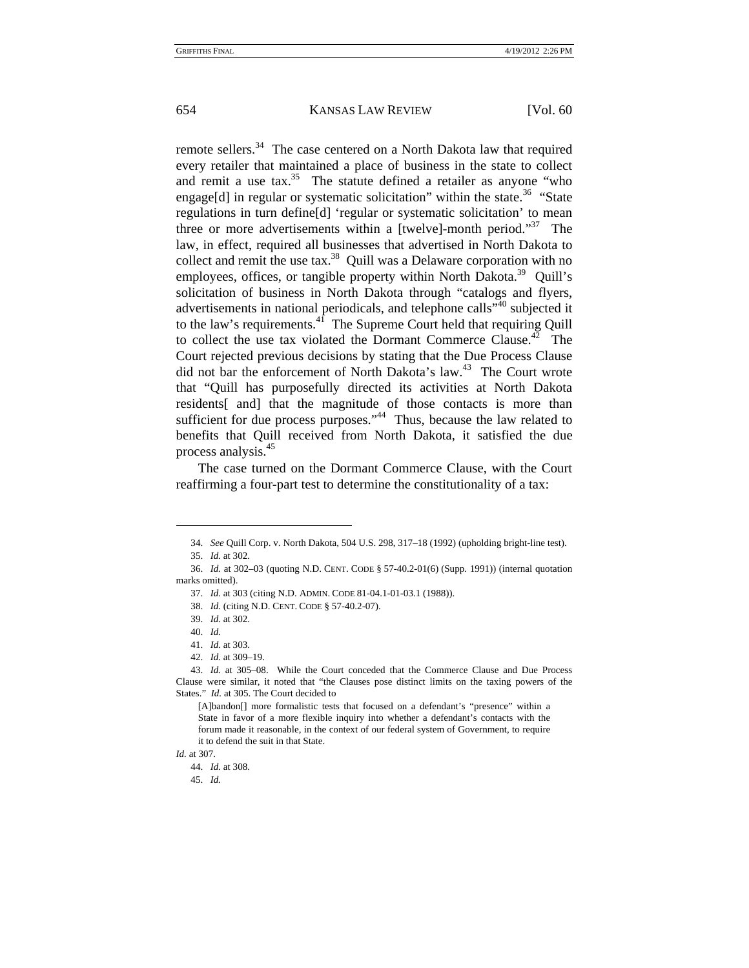remote sellers.<sup>34</sup> The case centered on a North Dakota law that required every retailer that maintained a place of business in the state to collect and remit a use  $\text{tax.}^{35}$  The statute defined a retailer as anyone "who engage[d] in regular or systematic solicitation" within the state.<sup>36</sup> "State regulations in turn define[d] 'regular or systematic solicitation' to mean three or more advertisements within a [twelve]-month period."<sup>37</sup> The law, in effect, required all businesses that advertised in North Dakota to collect and remit the use tax.<sup>38</sup> Quill was a Delaware corporation with no employees, offices, or tangible property within North Dakota.<sup>39</sup> Quill's solicitation of business in North Dakota through "catalogs and flyers, advertisements in national periodicals, and telephone calls<sup>"40</sup> subjected it to the law's requirements. $4\overline{1}$  The Supreme Court held that requiring Quill to collect the use tax violated the Dormant Commerce Clause.<sup>42</sup> The Court rejected previous decisions by stating that the Due Process Clause did not bar the enforcement of North Dakota's law.<sup>43</sup> The Court wrote that "Quill has purposefully directed its activities at North Dakota residents[ and] that the magnitude of those contacts is more than sufficient for due process purposes."<sup>44</sup> Thus, because the law related to benefits that Quill received from North Dakota, it satisfied the due process analysis.<sup>45</sup>

The case turned on the Dormant Commerce Clause, with the Court reaffirming a four-part test to determine the constitutionality of a tax:

<sup>34.</sup> *See* Quill Corp. v. North Dakota, 504 U.S. 298, 317–18 (1992) (upholding bright-line test).

<sup>35.</sup> *Id.* at 302.

<sup>36.</sup> *Id.* at 302–03 (quoting N.D. CENT. CODE § 57-40.2-01(6) (Supp. 1991)) (internal quotation marks omitted).

<sup>37.</sup> *Id.* at 303 (citing N.D. ADMIN. CODE 81-04.1-01-03.1 (1988)).

<sup>38.</sup> *Id.* (citing N.D. CENT. CODE § 57-40.2-07).

<sup>39.</sup> *Id.* at 302.

<sup>40.</sup> *Id.*

<sup>41.</sup> *Id.* at 303.

<sup>42.</sup> *Id.* at 309–19.

<sup>43.</sup> *Id.* at 305–08. While the Court conceded that the Commerce Clause and Due Process Clause were similar, it noted that "the Clauses pose distinct limits on the taxing powers of the States." *Id.* at 305. The Court decided to

<sup>[</sup>A]bandon[] more formalistic tests that focused on a defendant's "presence" within a State in favor of a more flexible inquiry into whether a defendant's contacts with the forum made it reasonable, in the context of our federal system of Government, to require it to defend the suit in that State.

*Id.* at 307.

<sup>44.</sup> *Id.* at 308.

<sup>45.</sup> *Id.*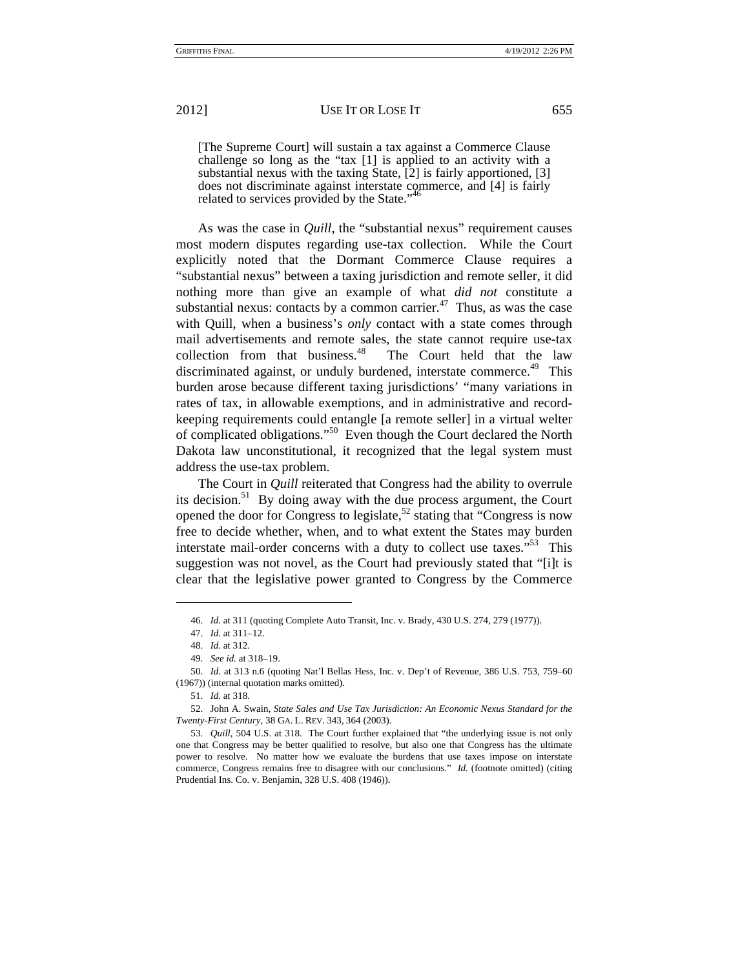[The Supreme Court] will sustain a tax against a Commerce Clause challenge so long as the "tax [1] is applied to an activity with a substantial nexus with the taxing State, [2] is fairly apportioned, [3] does not discriminate against interstate commerce, and [4] is fairly related to services provided by the State."<sup>46</sup>

As was the case in *Quill*, the "substantial nexus" requirement causes most modern disputes regarding use-tax collection. While the Court explicitly noted that the Dormant Commerce Clause requires a "substantial nexus" between a taxing jurisdiction and remote seller, it did nothing more than give an example of what *did not* constitute a substantial nexus: contacts by a common carrier. $47$  Thus, as was the case with Quill, when a business's *only* contact with a state comes through mail advertisements and remote sales, the state cannot require use-tax collection from that business.<sup>48</sup> The Court held that the law discriminated against, or unduly burdened, interstate commerce.<sup>49</sup> This burden arose because different taxing jurisdictions' "many variations in rates of tax, in allowable exemptions, and in administrative and recordkeeping requirements could entangle [a remote seller] in a virtual welter of complicated obligations."50 Even though the Court declared the North Dakota law unconstitutional, it recognized that the legal system must address the use-tax problem.

The Court in *Quill* reiterated that Congress had the ability to overrule its decision.<sup>51</sup> By doing away with the due process argument, the Court opened the door for Congress to legislate,<sup>52</sup> stating that "Congress is now free to decide whether, when, and to what extent the States may burden interstate mail-order concerns with a duty to collect use taxes."<sup>53</sup> This suggestion was not novel, as the Court had previously stated that "[i]t is clear that the legislative power granted to Congress by the Commerce

<sup>46.</sup> *Id.* at 311 (quoting Complete Auto Transit, Inc. v. Brady, 430 U.S. 274, 279 (1977)).

<sup>47.</sup> *Id.* at 311–12.

<sup>48.</sup> *Id.* at 312.

<sup>49.</sup> *See id.* at 318–19.

<sup>50.</sup> *Id.* at 313 n.6 (quoting Nat'l Bellas Hess, Inc. v. Dep't of Revenue, 386 U.S. 753, 759–60 (1967)) (internal quotation marks omitted).

<sup>51.</sup> *Id.* at 318.

 <sup>52.</sup> John A. Swain, *State Sales and Use Tax Jurisdiction: An Economic Nexus Standard for the Twenty-First Century*, 38 GA. L. REV. 343, 364 (2003).

<sup>53.</sup> *Quill*, 504 U.S. at 318. The Court further explained that "the underlying issue is not only one that Congress may be better qualified to resolve, but also one that Congress has the ultimate power to resolve. No matter how we evaluate the burdens that use taxes impose on interstate commerce, Congress remains free to disagree with our conclusions." *Id.* (footnote omitted) (citing Prudential Ins. Co. v. Benjamin, 328 U.S. 408 (1946)).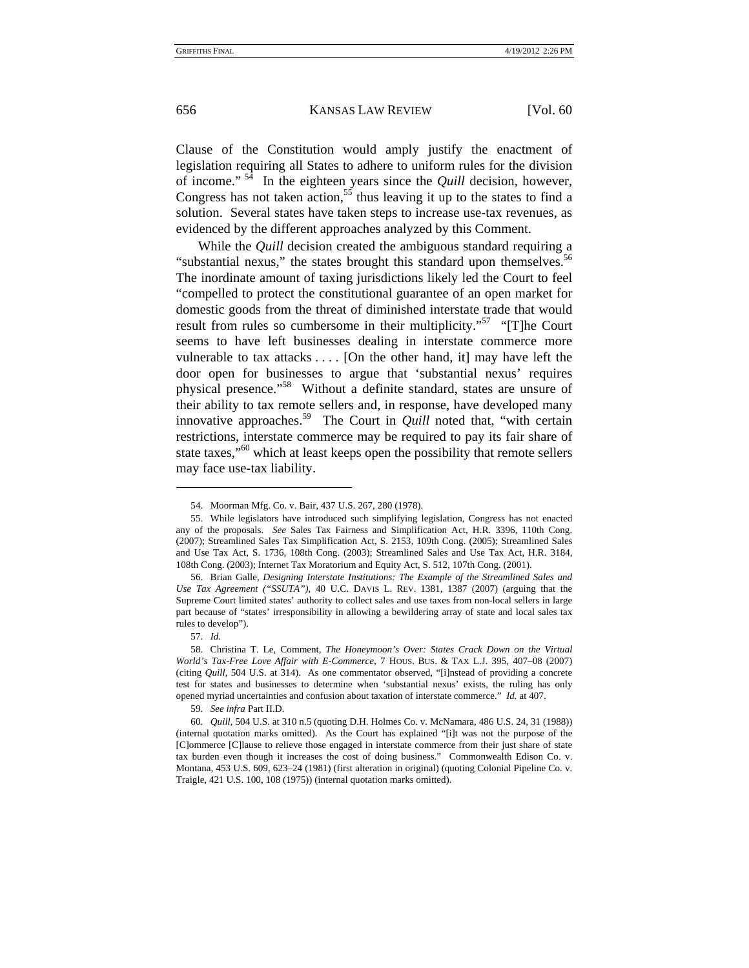Clause of the Constitution would amply justify the enactment of legislation requiring all States to adhere to uniform rules for the division of income." 54 In the eighteen years since the *Quill* decision, however, Congress has not taken action,<sup>55</sup> thus leaving it up to the states to find a solution. Several states have taken steps to increase use-tax revenues, as evidenced by the different approaches analyzed by this Comment.

While the *Quill* decision created the ambiguous standard requiring a "substantial nexus," the states brought this standard upon themselves.<sup>56</sup> The inordinate amount of taxing jurisdictions likely led the Court to feel "compelled to protect the constitutional guarantee of an open market for domestic goods from the threat of diminished interstate trade that would result from rules so cumbersome in their multiplicity."<sup>57</sup> "[T]he Court seems to have left businesses dealing in interstate commerce more vulnerable to tax attacks  $\dots$ . [On the other hand, it] may have left the door open for businesses to argue that 'substantial nexus' requires physical presence."58 Without a definite standard, states are unsure of their ability to tax remote sellers and, in response, have developed many innovative approaches.<sup>59</sup> The Court in *Quill* noted that, "with certain restrictions, interstate commerce may be required to pay its fair share of state taxes,"<sup>60</sup> which at least keeps open the possibility that remote sellers may face use-tax liability.

 <sup>54.</sup> Moorman Mfg. Co. v. Bair, 437 U.S. 267, 280 (1978).

 <sup>55.</sup> While legislators have introduced such simplifying legislation, Congress has not enacted any of the proposals. *See* Sales Tax Fairness and Simplification Act, H.R. 3396, 110th Cong. (2007); Streamlined Sales Tax Simplification Act, S. 2153, 109th Cong. (2005); Streamlined Sales and Use Tax Act, S. 1736, 108th Cong. (2003); Streamlined Sales and Use Tax Act, H.R. 3184, 108th Cong. (2003); Internet Tax Moratorium and Equity Act, S. 512, 107th Cong. (2001).

 <sup>56.</sup> Brian Galle, *Designing Interstate Institutions: The Example of the Streamlined Sales and Use Tax Agreement ("SSUTA")*, 40 U.C. DAVIS L. REV. 1381, 1387 (2007) (arguing that the Supreme Court limited states' authority to collect sales and use taxes from non-local sellers in large part because of "states' irresponsibility in allowing a bewildering array of state and local sales tax rules to develop").

<sup>57.</sup> *Id.*

 <sup>58.</sup> Christina T. Le, Comment, *The Honeymoon's Over: States Crack Down on the Virtual World's Tax-Free Love Affair with E-Commerce*, 7 HOUS. BUS. & TAX L.J. 395, 407–08 (2007) (citing *Quill*, 504 U.S. at 314). As one commentator observed, "[i]nstead of providing a concrete test for states and businesses to determine when 'substantial nexus' exists, the ruling has only opened myriad uncertainties and confusion about taxation of interstate commerce." *Id.* at 407.

<sup>59.</sup> *See infra* Part II.D.

<sup>60.</sup> *Quill*, 504 U.S. at 310 n.5 (quoting D.H. Holmes Co. v. McNamara, 486 U.S. 24, 31 (1988)) (internal quotation marks omitted). As the Court has explained "[i]t was not the purpose of the [C]ommerce [C]lause to relieve those engaged in interstate commerce from their just share of state tax burden even though it increases the cost of doing business." Commonwealth Edison Co. v. Montana, 453 U.S. 609, 623–24 (1981) (first alteration in original) (quoting Colonial Pipeline Co. v. Traigle, 421 U.S. 100, 108 (1975)) (internal quotation marks omitted).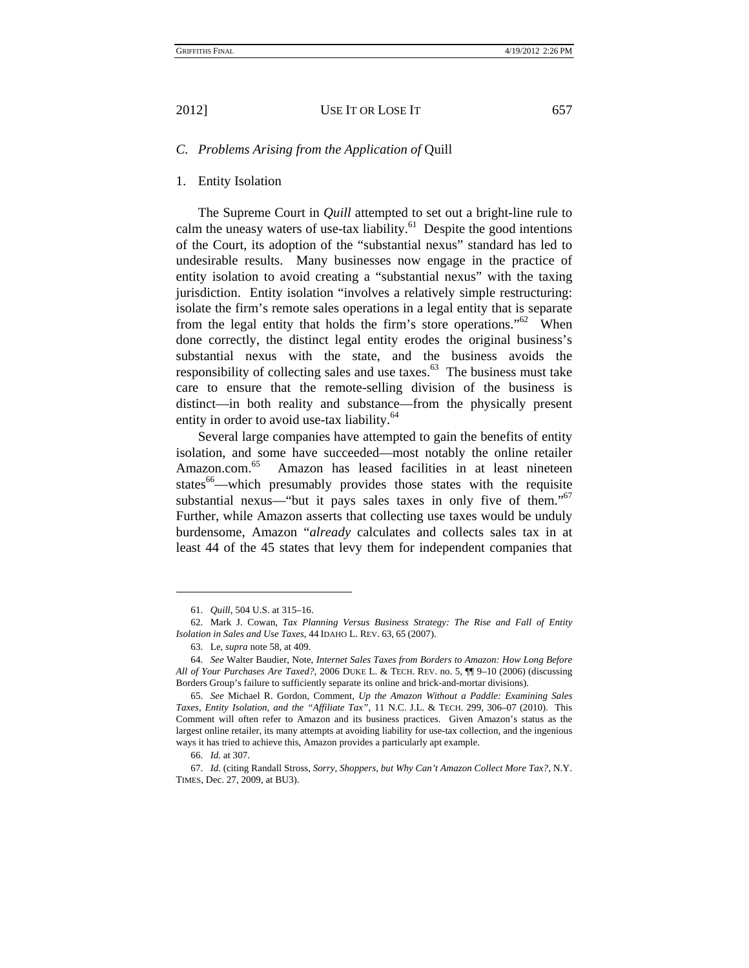### *C. Problems Arising from the Application of* Quill

1. Entity Isolation

The Supreme Court in *Quill* attempted to set out a bright-line rule to calm the uneasy waters of use-tax liability. $61$  Despite the good intentions of the Court, its adoption of the "substantial nexus" standard has led to undesirable results. Many businesses now engage in the practice of entity isolation to avoid creating a "substantial nexus" with the taxing jurisdiction. Entity isolation "involves a relatively simple restructuring: isolate the firm's remote sales operations in a legal entity that is separate from the legal entity that holds the firm's store operations."<sup>62</sup> When done correctly, the distinct legal entity erodes the original business's substantial nexus with the state, and the business avoids the responsibility of collecting sales and use taxes. $63$  The business must take care to ensure that the remote-selling division of the business is distinct—in both reality and substance—from the physically present entity in order to avoid use-tax liability.<sup>64</sup>

Several large companies have attempted to gain the benefits of entity isolation, and some have succeeded—most notably the online retailer Amazon.com.<sup>65</sup> Amazon has leased facilities in at least nineteen states<sup>66</sup>—which presumably provides those states with the requisite substantial nexus—"but it pays sales taxes in only five of them."<sup>67</sup> Further, while Amazon asserts that collecting use taxes would be unduly burdensome, Amazon "*already* calculates and collects sales tax in at least 44 of the 45 states that levy them for independent companies that

<sup>61.</sup> *Quill*, 504 U.S. at 315–16.

 <sup>62.</sup> Mark J. Cowan, *Tax Planning Versus Business Strategy: The Rise and Fall of Entity Isolation in Sales and Use Taxes*, 44 IDAHO L. REV. 63, 65 (2007).

 <sup>63.</sup> Le, *supra* note 58, at 409.

<sup>64.</sup> *See* Walter Baudier, Note, *Internet Sales Taxes from Borders to Amazon: How Long Before All of Your Purchases Are Taxed?*, 2006 DUKE L. & TECH. REV. no. 5, ¶¶ 9–10 (2006) (discussing Borders Group's failure to sufficiently separate its online and brick-and-mortar divisions).

<sup>65.</sup> *See* Michael R. Gordon, Comment, *Up the Amazon Without a Paddle: Examining Sales Taxes, Entity Isolation, and the "Affiliate Tax"*, 11 N.C. J.L. & TECH. 299, 306–07 (2010). This Comment will often refer to Amazon and its business practices. Given Amazon's status as the largest online retailer, its many attempts at avoiding liability for use-tax collection, and the ingenious ways it has tried to achieve this, Amazon provides a particularly apt example.

<sup>66.</sup> *Id.* at 307.

<sup>67.</sup> *Id.* (citing Randall Stross, *Sorry, Shoppers, but Why Can't Amazon Collect More Tax?*, N.Y. TIMES, Dec. 27, 2009, at BU3).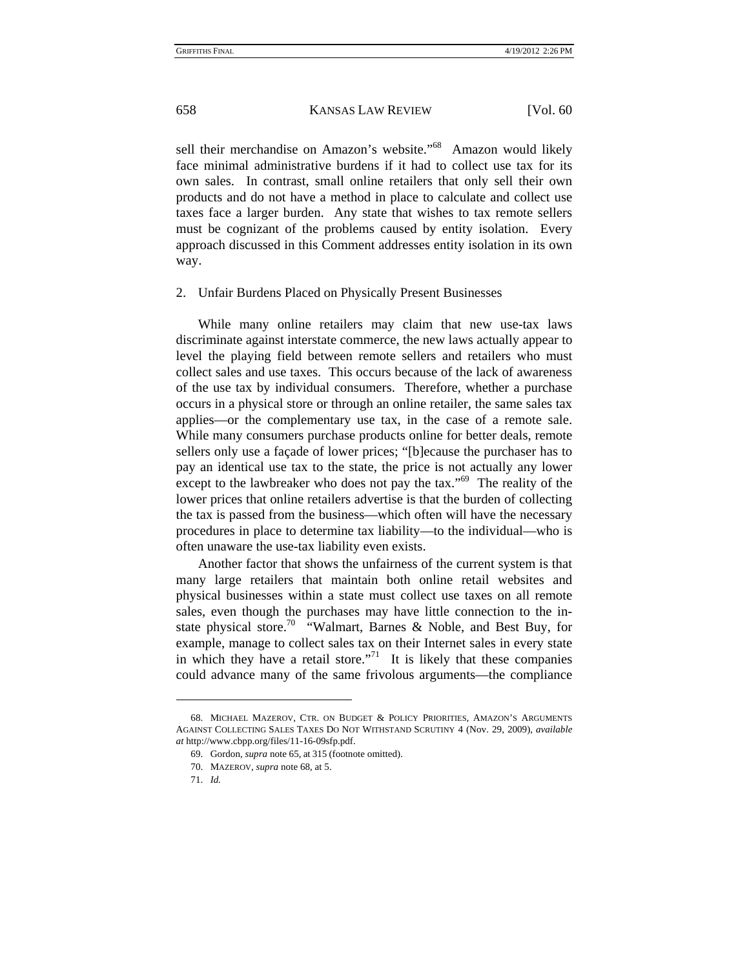sell their merchandise on Amazon's website."<sup>68</sup> Amazon would likely face minimal administrative burdens if it had to collect use tax for its own sales. In contrast, small online retailers that only sell their own products and do not have a method in place to calculate and collect use taxes face a larger burden. Any state that wishes to tax remote sellers must be cognizant of the problems caused by entity isolation. Every approach discussed in this Comment addresses entity isolation in its own way.

2. Unfair Burdens Placed on Physically Present Businesses

While many online retailers may claim that new use-tax laws discriminate against interstate commerce, the new laws actually appear to level the playing field between remote sellers and retailers who must collect sales and use taxes. This occurs because of the lack of awareness of the use tax by individual consumers. Therefore, whether a purchase occurs in a physical store or through an online retailer, the same sales tax applies—or the complementary use tax, in the case of a remote sale. While many consumers purchase products online for better deals, remote sellers only use a façade of lower prices; "[b]ecause the purchaser has to pay an identical use tax to the state, the price is not actually any lower except to the lawbreaker who does not pay the tax."<sup>69</sup> The reality of the lower prices that online retailers advertise is that the burden of collecting the tax is passed from the business—which often will have the necessary procedures in place to determine tax liability—to the individual—who is often unaware the use-tax liability even exists.

Another factor that shows the unfairness of the current system is that many large retailers that maintain both online retail websites and physical businesses within a state must collect use taxes on all remote sales, even though the purchases may have little connection to the instate physical store.<sup>70</sup> "Walmart, Barnes & Noble, and Best Buy, for example, manage to collect sales tax on their Internet sales in every state in which they have a retail store."<sup>71</sup> It is likely that these companies could advance many of the same frivolous arguments—the compliance

 <sup>68.</sup> MICHAEL MAZEROV, CTR. ON BUDGET & POLICY PRIORITIES, AMAZON'S ARGUMENTS AGAINST COLLECTING SALES TAXES DO NOT WITHSTAND SCRUTINY 4 (Nov. 29, 2009), *available at* http://www.cbpp.org/files/11-16-09sfp.pdf.

 <sup>69.</sup> Gordon, *supra* note 65, at 315 (footnote omitted).

 <sup>70.</sup> MAZEROV, *supra* note 68, at 5.

<sup>71.</sup> *Id.*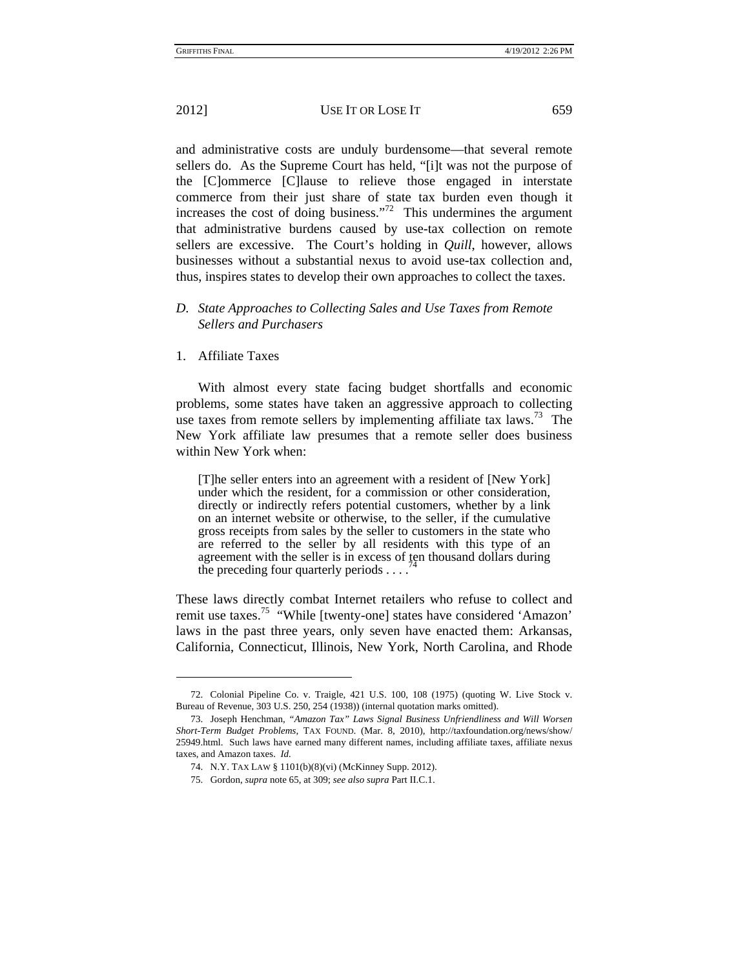and administrative costs are unduly burdensome—that several remote sellers do. As the Supreme Court has held, "[i]t was not the purpose of the [C]ommerce [C]lause to relieve those engaged in interstate commerce from their just share of state tax burden even though it increases the cost of doing business."<sup>72</sup> This undermines the argument that administrative burdens caused by use-tax collection on remote sellers are excessive. The Court's holding in *Quill*, however, allows businesses without a substantial nexus to avoid use-tax collection and, thus, inspires states to develop their own approaches to collect the taxes.

# *D. State Approaches to Collecting Sales and Use Taxes from Remote Sellers and Purchasers*

1. Affiliate Taxes

 $\overline{a}$ 

With almost every state facing budget shortfalls and economic problems, some states have taken an aggressive approach to collecting use taxes from remote sellers by implementing affiliate tax  $laws.^{73}$  The New York affiliate law presumes that a remote seller does business within New York when:

[T]he seller enters into an agreement with a resident of [New York] under which the resident, for a commission or other consideration, directly or indirectly refers potential customers, whether by a link on an internet website or otherwise, to the seller, if the cumulative gross receipts from sales by the seller to customers in the state who are referred to the seller by all residents with this type of an agreement with the seller is in excess of ten thousand dollars during the preceding four quarterly periods  $\dots$ 

These laws directly combat Internet retailers who refuse to collect and remit use taxes.75 "While [twenty-one] states have considered 'Amazon' laws in the past three years, only seven have enacted them: Arkansas, California, Connecticut, Illinois, New York, North Carolina, and Rhode

 <sup>72.</sup> Colonial Pipeline Co. v. Traigle, 421 U.S. 100, 108 (1975) (quoting W. Live Stock v. Bureau of Revenue, 303 U.S. 250, 254 (1938)) (internal quotation marks omitted).

 <sup>73.</sup> Joseph Henchman, *"Amazon Tax" Laws Signal Business Unfriendliness and Will Worsen Short-Term Budget Problems*, TAX FOUND. (Mar. 8, 2010), http://taxfoundation.org/news/show/ 25949.html. Such laws have earned many different names, including affiliate taxes, affiliate nexus taxes, and Amazon taxes. *Id.*

 <sup>74.</sup> N.Y. TAX LAW § 1101(b)(8)(vi) (McKinney Supp. 2012).

 <sup>75.</sup> Gordon, *supra* note 65, at 309; *see also supra* Part II.C.1.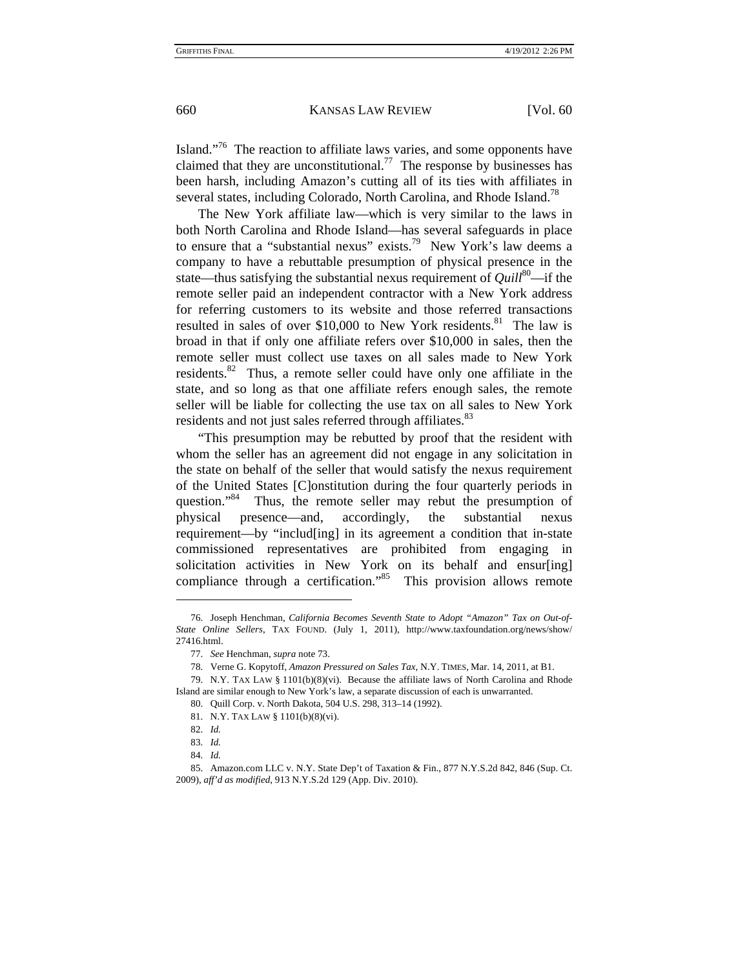Island."76 The reaction to affiliate laws varies, and some opponents have claimed that they are unconstitutional.<sup>77</sup> The response by businesses has been harsh, including Amazon's cutting all of its ties with affiliates in several states, including Colorado, North Carolina, and Rhode Island.<sup>78</sup>

The New York affiliate law—which is very similar to the laws in both North Carolina and Rhode Island—has several safeguards in place to ensure that a "substantial nexus" exists.<sup>79</sup> New York's law deems a company to have a rebuttable presumption of physical presence in the state—thus satisfying the substantial nexus requirement of *Quill*<sup>80</sup>—if the remote seller paid an independent contractor with a New York address for referring customers to its website and those referred transactions resulted in sales of over \$10,000 to New York residents.<sup>81</sup> The law is broad in that if only one affiliate refers over \$10,000 in sales, then the remote seller must collect use taxes on all sales made to New York residents. $82$  Thus, a remote seller could have only one affiliate in the state, and so long as that one affiliate refers enough sales, the remote seller will be liable for collecting the use tax on all sales to New York residents and not just sales referred through affiliates.<sup>83</sup>

"This presumption may be rebutted by proof that the resident with whom the seller has an agreement did not engage in any solicitation in the state on behalf of the seller that would satisfy the nexus requirement of the United States [C]onstitution during the four quarterly periods in question."<sup>84</sup> Thus, the remote seller may rebut the presumption of physical presence—and, accordingly, the substantial nexus requirement—by "includ[ing] in its agreement a condition that in-state commissioned representatives are prohibited from engaging in solicitation activities in New York on its behalf and ensur[ing] compliance through a certification."<sup>85</sup> This provision allows remote

 <sup>76.</sup> Joseph Henchman, *California Becomes Seventh State to Adopt "Amazon" Tax on Out-of-State Online Sellers*, TAX FOUND. (July 1, 2011), http://www.taxfoundation.org/news/show/ 27416.html.

<sup>77.</sup> *See* Henchman, *supra* note 73.

 <sup>78.</sup> Verne G. Kopytoff, *Amazon Pressured on Sales Tax*, N.Y. TIMES, Mar. 14, 2011, at B1.

 <sup>79.</sup> N.Y. TAX LAW § 1101(b)(8)(vi). Because the affiliate laws of North Carolina and Rhode Island are similar enough to New York's law, a separate discussion of each is unwarranted.

 <sup>80.</sup> Quill Corp. v. North Dakota, 504 U.S. 298, 313–14 (1992).

 <sup>81.</sup> N.Y. TAX LAW § 1101(b)(8)(vi).

<sup>82.</sup> *Id.*

<sup>83.</sup> *Id.*

<sup>84.</sup> *Id.*

 <sup>85.</sup> Amazon.com LLC v. N.Y. State Dep't of Taxation & Fin., 877 N.Y.S.2d 842, 846 (Sup. Ct. 2009), *aff'd as modified*, 913 N.Y.S.2d 129 (App. Div. 2010).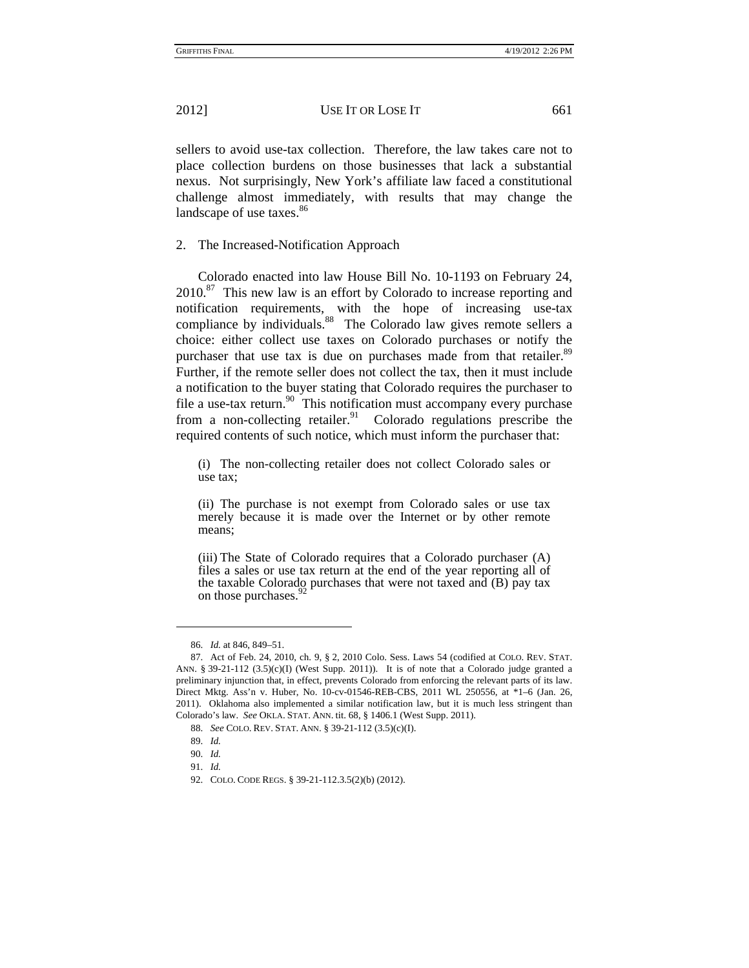sellers to avoid use-tax collection. Therefore, the law takes care not to place collection burdens on those businesses that lack a substantial nexus. Not surprisingly, New York's affiliate law faced a constitutional challenge almost immediately, with results that may change the landscape of use taxes.<sup>86</sup>

2. The Increased-Notification Approach

Colorado enacted into law House Bill No. 10-1193 on February 24,  $2010$ <sup>87</sup>. This new law is an effort by Colorado to increase reporting and notification requirements, with the hope of increasing use-tax compliance by individuals.<sup>88</sup> The Colorado law gives remote sellers a choice: either collect use taxes on Colorado purchases or notify the purchaser that use tax is due on purchases made from that retailer.<sup>89</sup> Further, if the remote seller does not collect the tax, then it must include a notification to the buyer stating that Colorado requires the purchaser to file a use-tax return. $90$  This notification must accompany every purchase from a non-collecting retailer. $91$  Colorado regulations prescribe the required contents of such notice, which must inform the purchaser that:

(i) The non-collecting retailer does not collect Colorado sales or use tax;

(ii) The purchase is not exempt from Colorado sales or use tax merely because it is made over the Internet or by other remote means;

(iii) The State of Colorado requires that a Colorado purchaser (A) files a sales or use tax return at the end of the year reporting all of the taxable Colorado purchases that were not taxed and (B) pay tax on those purchases.<sup>3</sup>

<sup>86.</sup> *Id.* at 846, 849–51.

 <sup>87.</sup> Act of Feb. 24, 2010, ch. 9, § 2, 2010 Colo. Sess. Laws 54 (codified at COLO. REV. STAT. ANN. § 39-21-112 (3.5)(c)(I) (West Supp. 2011)). It is of note that a Colorado judge granted a preliminary injunction that, in effect, prevents Colorado from enforcing the relevant parts of its law. Direct Mktg. Ass'n v. Huber, No. 10-cv-01546-REB-CBS, 2011 WL 250556, at \*1–6 (Jan. 26, 2011). Oklahoma also implemented a similar notification law, but it is much less stringent than Colorado's law. *See* OKLA. STAT. ANN. tit. 68, § 1406.1 (West Supp. 2011).

<sup>88.</sup> *See* COLO. REV. STAT. ANN. § 39-21-112 (3.5)(c)(I).

<sup>89.</sup> *Id.*

<sup>90.</sup> *Id.*

<sup>91.</sup> *Id.*

 <sup>92.</sup> COLO. CODE REGS. § 39-21-112.3.5(2)(b) (2012).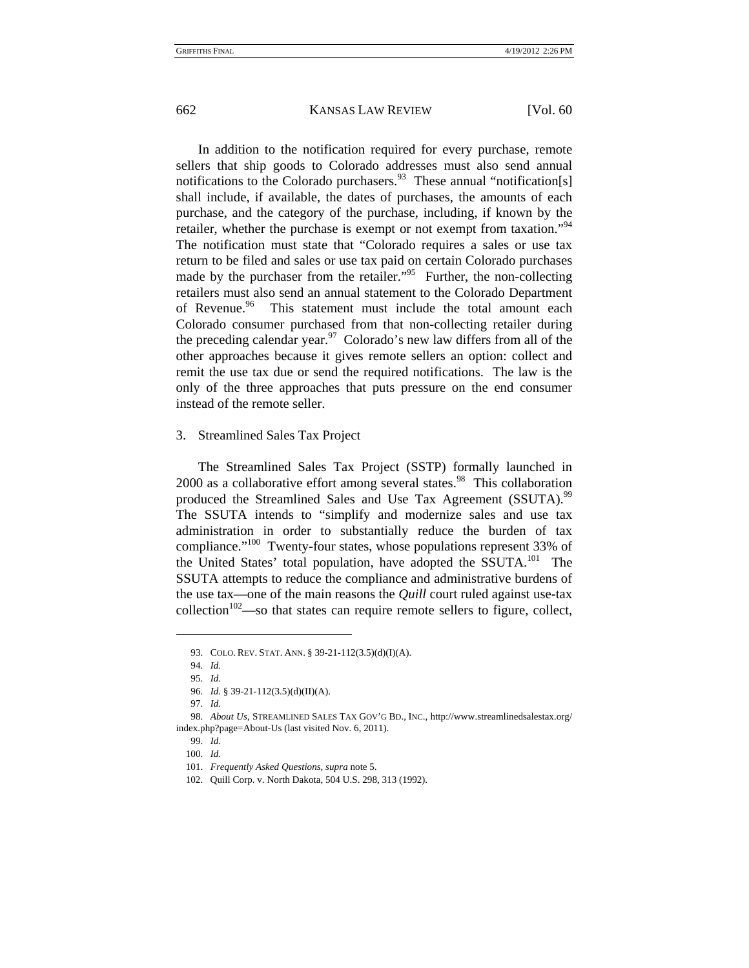In addition to the notification required for every purchase, remote sellers that ship goods to Colorado addresses must also send annual notifications to the Colorado purchasers.<sup>93</sup> These annual "notification[s] shall include, if available, the dates of purchases, the amounts of each purchase, and the category of the purchase, including, if known by the retailer, whether the purchase is exempt or not exempt from taxation."<sup>94</sup> The notification must state that "Colorado requires a sales or use tax return to be filed and sales or use tax paid on certain Colorado purchases made by the purchaser from the retailer."<sup>95</sup> Further, the non-collecting retailers must also send an annual statement to the Colorado Department of Revenue.<sup>96</sup> This statement must include the total amount each Colorado consumer purchased from that non-collecting retailer during the preceding calendar year.<sup>97</sup> Colorado's new law differs from all of the other approaches because it gives remote sellers an option: collect and remit the use tax due or send the required notifications. The law is the only of the three approaches that puts pressure on the end consumer instead of the remote seller.

### 3. Streamlined Sales Tax Project

The Streamlined Sales Tax Project (SSTP) formally launched in 2000 as a collaborative effort among several states.<sup>98</sup> This collaboration produced the Streamlined Sales and Use Tax Agreement (SSUTA).<sup>99</sup> The SSUTA intends to "simplify and modernize sales and use tax administration in order to substantially reduce the burden of tax compliance."100 Twenty-four states, whose populations represent 33% of the United States' total population, have adopted the SSUTA.<sup>101</sup> The SSUTA attempts to reduce the compliance and administrative burdens of the use tax—one of the main reasons the *Quill* court ruled against use-tax  $\text{collection}^{102}$ —so that states can require remote sellers to figure, collect,

 <sup>93.</sup> COLO. REV. STAT. ANN. § 39-21-112(3.5)(d)(I)(A).

<sup>94.</sup> *Id.*

<sup>95.</sup> *Id.*

<sup>96.</sup> *Id.* § 39-21-112(3.5)(d)(II)(A).

<sup>97.</sup> *Id.*

<sup>98.</sup> *About Us*, STREAMLINED SALES TAX GOV'G BD., INC., http://www.streamlinedsalestax.org/ index.php?page=About-Us (last visited Nov. 6, 2011).

<sup>99.</sup> *Id.*

<sup>100.</sup> *Id.*

<sup>101.</sup> *Frequently Asked Questions*, *supra* note 5.

 <sup>102.</sup> Quill Corp. v. North Dakota, 504 U.S. 298, 313 (1992).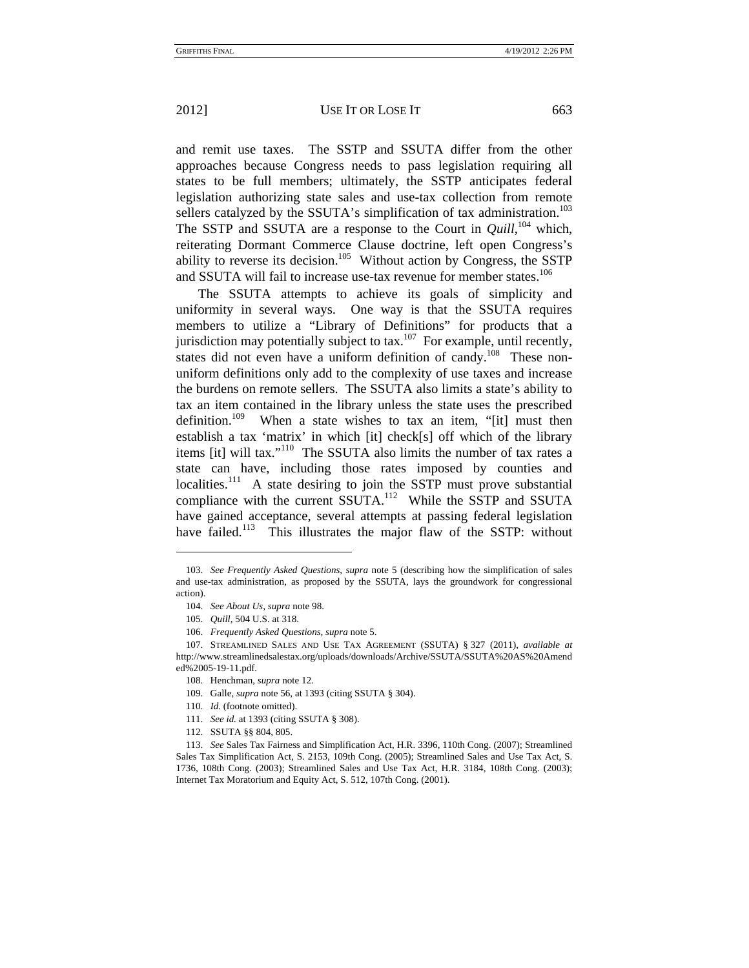and remit use taxes. The SSTP and SSUTA differ from the other approaches because Congress needs to pass legislation requiring all states to be full members; ultimately, the SSTP anticipates federal legislation authorizing state sales and use-tax collection from remote sellers catalyzed by the SSUTA's simplification of tax administration.<sup>103</sup> The SSTP and SSUTA are a response to the Court in  $Quill$ ,<sup>104</sup> which, reiterating Dormant Commerce Clause doctrine, left open Congress's ability to reverse its decision.<sup>105</sup> Without action by Congress, the SSTP and SSUTA will fail to increase use-tax revenue for member states.<sup>106</sup>

The SSUTA attempts to achieve its goals of simplicity and uniformity in several ways. One way is that the SSUTA requires members to utilize a "Library of Definitions" for products that a jurisdiction may potentially subject to tax.<sup>107</sup> For example, until recently, states did not even have a uniform definition of candy.<sup>108</sup> These nonuniform definitions only add to the complexity of use taxes and increase the burdens on remote sellers. The SSUTA also limits a state's ability to tax an item contained in the library unless the state uses the prescribed definition.<sup>109</sup> When a state wishes to tax an item, "[it] must then establish a tax 'matrix' in which [it] check[s] off which of the library items [it] will tax."110 The SSUTA also limits the number of tax rates a state can have, including those rates imposed by counties and localities.<sup>111</sup> A state desiring to join the SSTP must prove substantial compliance with the current SSUTA.<sup>112</sup> While the SSTP and SSUTA have gained acceptance, several attempts at passing federal legislation have failed.<sup>113</sup> This illustrates the major flaw of the SSTP: without

<sup>103.</sup> *See Frequently Asked Questions*, *supra* note 5 (describing how the simplification of sales and use-tax administration, as proposed by the SSUTA, lays the groundwork for congressional action).

<sup>104.</sup> *See About Us*, *supra* note 98.

<sup>105.</sup> *Quill*, 504 U.S. at 318.

<sup>106.</sup> *Frequently Asked Questions*, *supra* note 5.

 <sup>107.</sup> STREAMLINED SALES AND USE TAX AGREEMENT (SSUTA) § 327 (2011), *available at*  http://www.streamlinedsalestax.org/uploads/downloads/Archive/SSUTA/SSUTA%20AS%20Amend ed%2005-19-11.pdf.

 <sup>108.</sup> Henchman, *supra* note 12.

 <sup>109.</sup> Galle, *supra* note 56, at 1393 (citing SSUTA § 304).

<sup>110.</sup> *Id.* (footnote omitted).

<sup>111.</sup> *See id.* at 1393 (citing SSUTA § 308).

 <sup>112.</sup> SSUTA §§ 804, 805.

<sup>113.</sup> *See* Sales Tax Fairness and Simplification Act, H.R. 3396, 110th Cong. (2007); Streamlined Sales Tax Simplification Act, S. 2153, 109th Cong. (2005); Streamlined Sales and Use Tax Act, S. 1736, 108th Cong. (2003); Streamlined Sales and Use Tax Act, H.R. 3184, 108th Cong. (2003); Internet Tax Moratorium and Equity Act, S. 512, 107th Cong. (2001).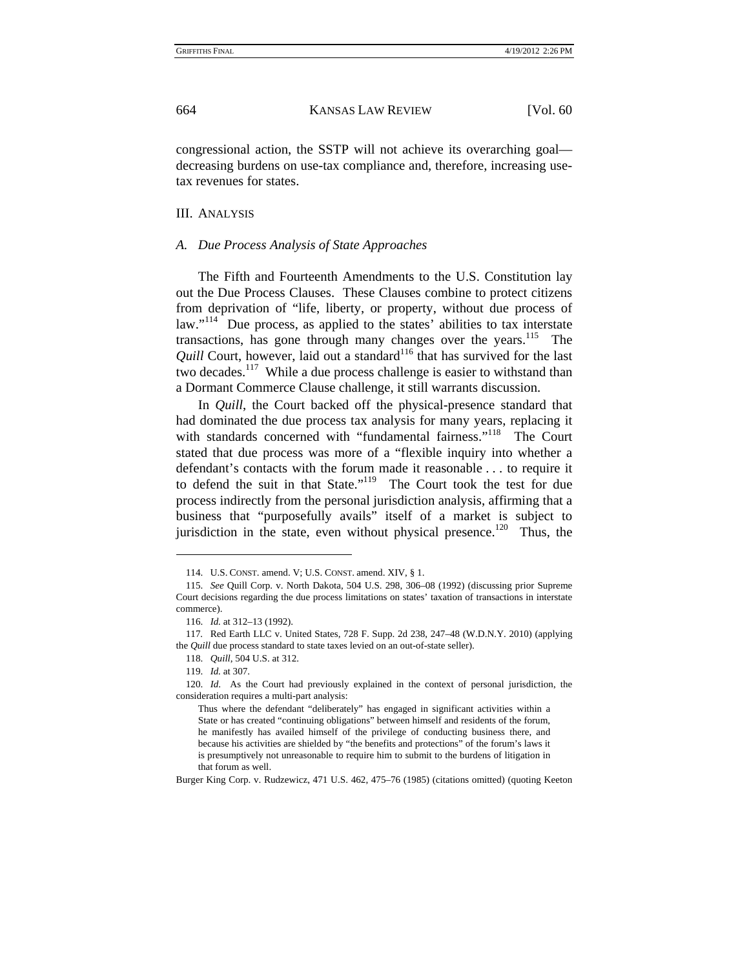congressional action, the SSTP will not achieve its overarching goal decreasing burdens on use-tax compliance and, therefore, increasing usetax revenues for states.

### III. ANALYSIS

### *A. Due Process Analysis of State Approaches*

The Fifth and Fourteenth Amendments to the U.S. Constitution lay out the Due Process Clauses. These Clauses combine to protect citizens from deprivation of "life, liberty, or property, without due process of law."<sup>114</sup> Due process, as applied to the states' abilities to tax interstate transactions, has gone through many changes over the years.<sup>115</sup> The *Quill* Court, however, laid out a standard<sup>116</sup> that has survived for the last two decades.<sup>117</sup> While a due process challenge is easier to withstand than a Dormant Commerce Clause challenge, it still warrants discussion.

In *Quill*, the Court backed off the physical-presence standard that had dominated the due process tax analysis for many years, replacing it with standards concerned with "fundamental fairness."<sup>118</sup> The Court stated that due process was more of a "flexible inquiry into whether a defendant's contacts with the forum made it reasonable . . . to require it to defend the suit in that State."<sup>119</sup> The Court took the test for due process indirectly from the personal jurisdiction analysis, affirming that a business that "purposefully avails" itself of a market is subject to jurisdiction in the state, even without physical presence.<sup>120</sup> Thus, the

 $\overline{a}$ 

Burger King Corp. v. Rudzewicz, 471 U.S. 462, 475–76 (1985) (citations omitted) (quoting Keeton

 <sup>114.</sup> U.S. CONST. amend. V; U.S. CONST. amend. XIV, § 1.

<sup>115.</sup> *See* Quill Corp. v. North Dakota, 504 U.S. 298, 306–08 (1992) (discussing prior Supreme Court decisions regarding the due process limitations on states' taxation of transactions in interstate commerce).

<sup>116.</sup> *Id.* at 312–13 (1992).

 <sup>117</sup>*.* Red Earth LLC v. United States, 728 F. Supp. 2d 238, 247–48 (W.D.N.Y. 2010) (applying the *Quill* due process standard to state taxes levied on an out-of-state seller).

<sup>118.</sup> *Quill*, 504 U.S. at 312.

<sup>119.</sup> *Id.* at 307.

<sup>120.</sup> *Id*. As the Court had previously explained in the context of personal jurisdiction, the consideration requires a multi-part analysis:

Thus where the defendant "deliberately" has engaged in significant activities within a State or has created "continuing obligations" between himself and residents of the forum, he manifestly has availed himself of the privilege of conducting business there, and because his activities are shielded by "the benefits and protections" of the forum's laws it is presumptively not unreasonable to require him to submit to the burdens of litigation in that forum as well.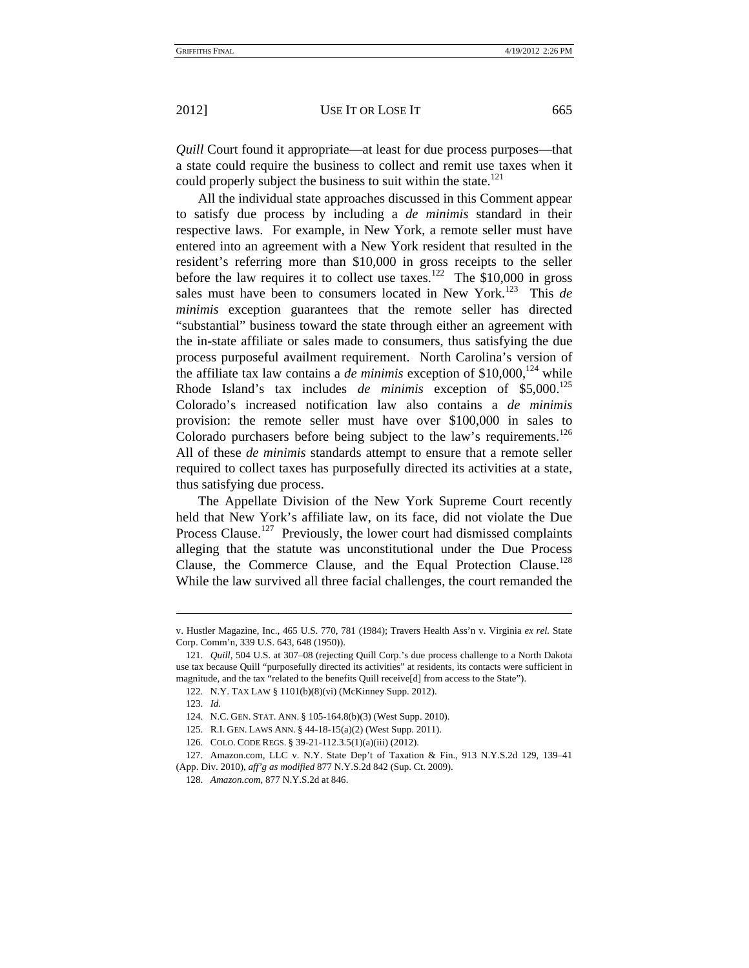*Quill* Court found it appropriate—at least for due process purposes—that a state could require the business to collect and remit use taxes when it could properly subject the business to suit within the state.<sup>121</sup>

All the individual state approaches discussed in this Comment appear to satisfy due process by including a *de minimis* standard in their respective laws. For example, in New York, a remote seller must have entered into an agreement with a New York resident that resulted in the resident's referring more than \$10,000 in gross receipts to the seller before the law requires it to collect use taxes.<sup>122</sup> The  $$10,000$  in gross sales must have been to consumers located in New York.123 This *de minimis* exception guarantees that the remote seller has directed "substantial" business toward the state through either an agreement with the in-state affiliate or sales made to consumers, thus satisfying the due process purposeful availment requirement. North Carolina's version of the affiliate tax law contains a *de minimis* exception of  $$10,000$ , <sup>124</sup> while Rhode Island's tax includes *de minimis* exception of \$5,000.<sup>125</sup> Colorado's increased notification law also contains a *de minimis* provision: the remote seller must have over \$100,000 in sales to Colorado purchasers before being subject to the law's requirements.<sup>126</sup> All of these *de minimis* standards attempt to ensure that a remote seller required to collect taxes has purposefully directed its activities at a state, thus satisfying due process.

The Appellate Division of the New York Supreme Court recently held that New York's affiliate law, on its face, did not violate the Due Process Clause.<sup>127</sup> Previously, the lower court had dismissed complaints alleging that the statute was unconstitutional under the Due Process Clause, the Commerce Clause, and the Equal Protection Clause.<sup>128</sup> While the law survived all three facial challenges, the court remanded the

v. Hustler Magazine, Inc., 465 U.S. 770, 781 (1984); Travers Health Ass'n v. Virginia *ex rel.* State Corp. Comm'n, 339 U.S. 643, 648 (1950)).

<sup>121.</sup> *Quill*, 504 U.S. at 307–08 (rejecting Quill Corp.'s due process challenge to a North Dakota use tax because Quill "purposefully directed its activities" at residents, its contacts were sufficient in magnitude, and the tax "related to the benefits Quill receive[d] from access to the State").

 <sup>122.</sup> N.Y. TAX LAW § 1101(b)(8)(vi) (McKinney Supp. 2012).

<sup>123.</sup> *Id.*

 <sup>124.</sup> N.C. GEN. STAT. ANN. § 105-164.8(b)(3) (West Supp. 2010).

 <sup>125.</sup> R.I. GEN. LAWS ANN. § 44-18-15(a)(2) (West Supp. 2011).

 <sup>126.</sup> COLO. CODE REGS. § 39-21-112.3.5(1)(a)(iii) (2012).

 <sup>127.</sup> Amazon.com, LLC v. N.Y. State Dep't of Taxation & Fin., 913 N.Y.S.2d 129, 139–41 (App. Div. 2010), *aff'g as modified* 877 N.Y.S.2d 842 (Sup. Ct. 2009).

<sup>128.</sup> *Amazon.com*, 877 N.Y.S.2d at 846.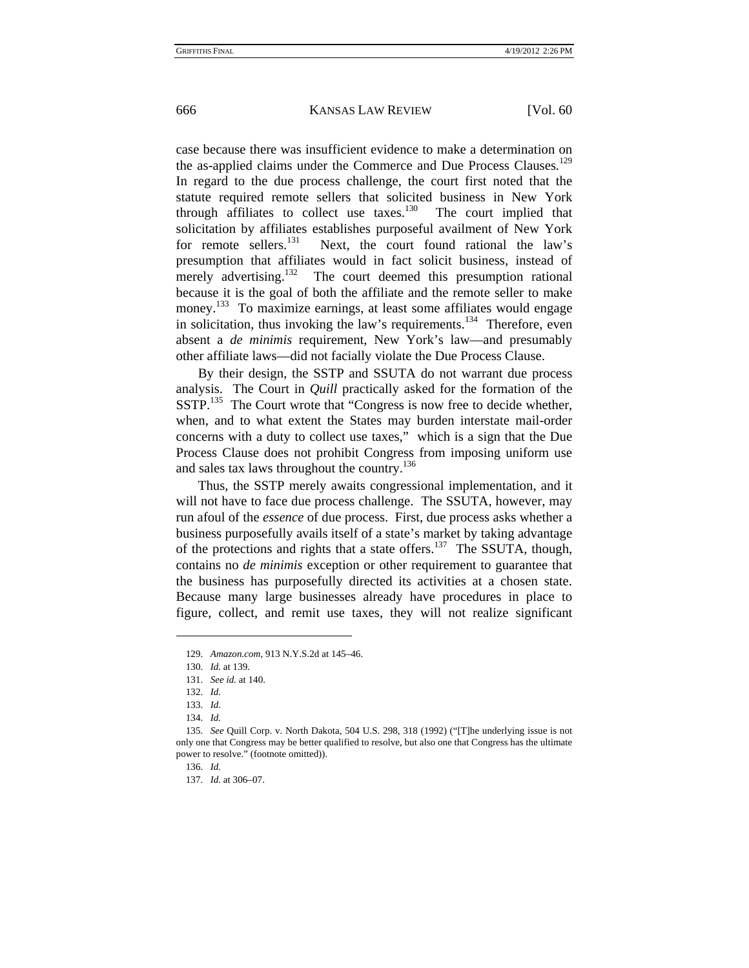case because there was insufficient evidence to make a determination on the as-applied claims under the Commerce and Due Process Clauses.<sup>129</sup> In regard to the due process challenge, the court first noted that the statute required remote sellers that solicited business in New York through affiliates to collect use taxes.<sup>130</sup> The court implied that solicitation by affiliates establishes purposeful availment of New York for remote sellers.<sup>131</sup> Next, the court found rational the law's presumption that affiliates would in fact solicit business, instead of merely advertising.<sup>132</sup> The court deemed this presumption rational because it is the goal of both the affiliate and the remote seller to make money.<sup>133</sup> To maximize earnings, at least some affiliates would engage in solicitation, thus invoking the law's requirements.<sup>134</sup> Therefore, even absent a *de minimis* requirement, New York's law—and presumably other affiliate laws—did not facially violate the Due Process Clause.

By their design, the SSTP and SSUTA do not warrant due process analysis. The Court in *Quill* practically asked for the formation of the SSTP.<sup>135</sup> The Court wrote that "Congress is now free to decide whether, when, and to what extent the States may burden interstate mail-order concerns with a duty to collect use taxes," which is a sign that the Due Process Clause does not prohibit Congress from imposing uniform use and sales tax laws throughout the country.<sup>136</sup>

Thus, the SSTP merely awaits congressional implementation, and it will not have to face due process challenge. The SSUTA, however, may run afoul of the *essence* of due process. First, due process asks whether a business purposefully avails itself of a state's market by taking advantage of the protections and rights that a state offers.<sup>137</sup> The SSUTA, though, contains no *de minimis* exception or other requirement to guarantee that the business has purposefully directed its activities at a chosen state. Because many large businesses already have procedures in place to figure, collect, and remit use taxes, they will not realize significant

l

136. *Id.*

<sup>129.</sup> *Amazon.com*, 913 N.Y.S.2d at 145–46.

<sup>130.</sup> *Id.* at 139.

<sup>131.</sup> *See id.* at 140.

<sup>132.</sup> *Id.*

<sup>133.</sup> *Id*.

<sup>134.</sup> *Id.*

<sup>135.</sup> *See* Quill Corp. v. North Dakota, 504 U.S. 298, 318 (1992) ("[T]he underlying issue is not only one that Congress may be better qualified to resolve, but also one that Congress has the ultimate power to resolve." (footnote omitted)).

<sup>137.</sup> *Id.* at 306–07.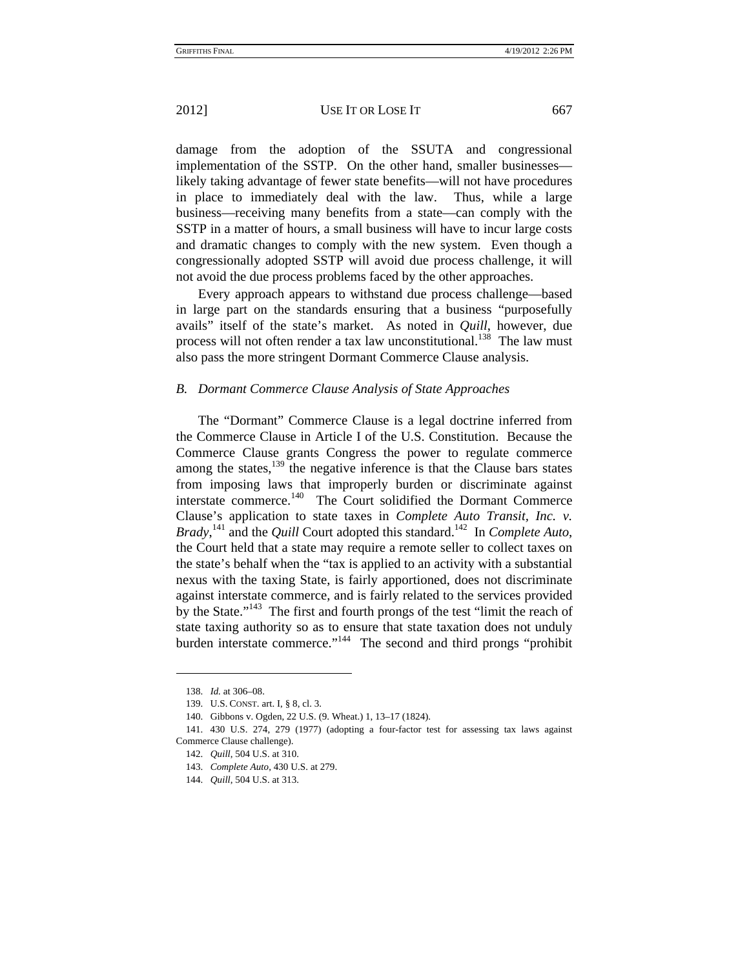damage from the adoption of the SSUTA and congressional implementation of the SSTP. On the other hand, smaller businesses likely taking advantage of fewer state benefits—will not have procedures in place to immediately deal with the law. Thus, while a large business—receiving many benefits from a state—can comply with the SSTP in a matter of hours, a small business will have to incur large costs and dramatic changes to comply with the new system. Even though a congressionally adopted SSTP will avoid due process challenge, it will not avoid the due process problems faced by the other approaches.

Every approach appears to withstand due process challenge—based in large part on the standards ensuring that a business "purposefully avails" itself of the state's market. As noted in *Quill*, however, due process will not often render a tax law unconstitutional.<sup>138</sup> The law must also pass the more stringent Dormant Commerce Clause analysis.

#### *B. Dormant Commerce Clause Analysis of State Approaches*

The "Dormant" Commerce Clause is a legal doctrine inferred from the Commerce Clause in Article I of the U.S. Constitution. Because the Commerce Clause grants Congress the power to regulate commerce among the states, $139$  the negative inference is that the Clause bars states from imposing laws that improperly burden or discriminate against interstate commerce.140 The Court solidified the Dormant Commerce Clause's application to state taxes in *Complete Auto Transit, Inc. v. Brady*,<sup>141</sup> and the *Quill* Court adopted this standard.<sup>142</sup> In *Complete Auto*, the Court held that a state may require a remote seller to collect taxes on the state's behalf when the "tax is applied to an activity with a substantial nexus with the taxing State, is fairly apportioned, does not discriminate against interstate commerce, and is fairly related to the services provided by the State."143 The first and fourth prongs of the test "limit the reach of state taxing authority so as to ensure that state taxation does not unduly burden interstate commerce."<sup>144</sup> The second and third prongs "prohibit

<sup>138.</sup> *Id.* at 306–08.

 <sup>139.</sup> U.S. CONST. art. I, § 8, cl. 3.

 <sup>140.</sup> Gibbons v. Ogden, 22 U.S. (9. Wheat.) 1, 13–17 (1824).

 <sup>141. 430</sup> U.S. 274, 279 (1977) (adopting a four-factor test for assessing tax laws against Commerce Clause challenge).

<sup>142.</sup> *Quill*, 504 U.S. at 310.

<sup>143.</sup> *Complete Auto*, 430 U.S. at 279.

<sup>144.</sup> *Quill*, 504 U.S. at 313.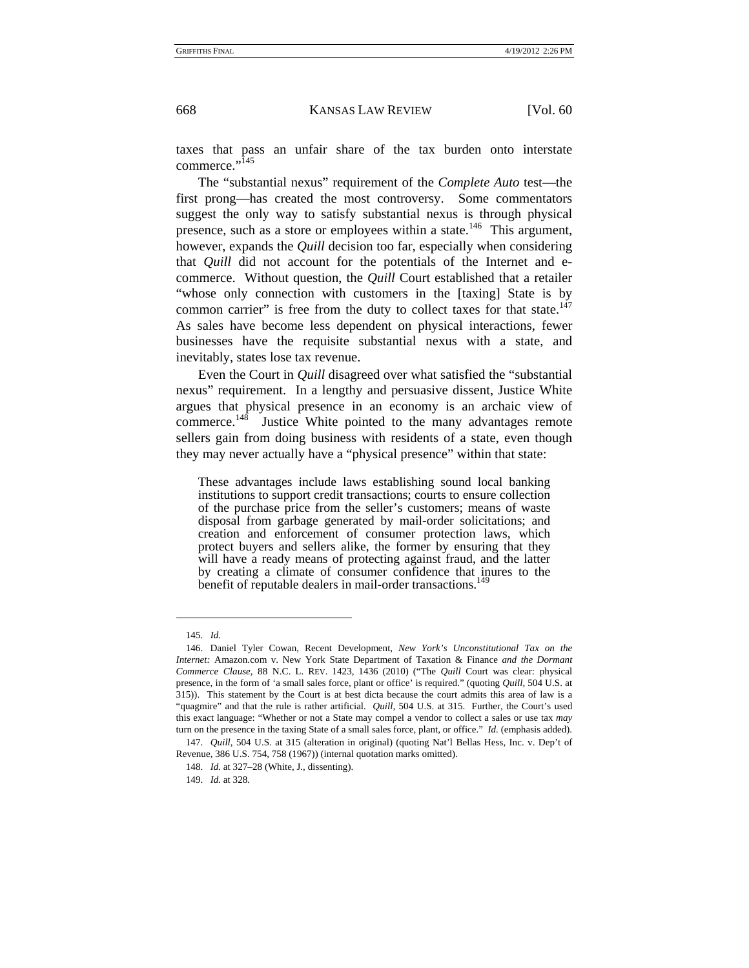taxes that pass an unfair share of the tax burden onto interstate commerce."<sup>145</sup>

The "substantial nexus" requirement of the *Complete Auto* test—the first prong—has created the most controversy. Some commentators suggest the only way to satisfy substantial nexus is through physical presence, such as a store or employees within a state.<sup>146</sup> This argument, however, expands the *Quill* decision too far, especially when considering that *Quill* did not account for the potentials of the Internet and ecommerce. Without question, the *Quill* Court established that a retailer "whose only connection with customers in the [taxing] State is by common carrier" is free from the duty to collect taxes for that state.<sup>147</sup> As sales have become less dependent on physical interactions, fewer businesses have the requisite substantial nexus with a state, and inevitably, states lose tax revenue.

Even the Court in *Quill* disagreed over what satisfied the "substantial nexus" requirement. In a lengthy and persuasive dissent, Justice White argues that physical presence in an economy is an archaic view of commerce.<sup>148</sup> Justice White pointed to the many advantages remote sellers gain from doing business with residents of a state, even though they may never actually have a "physical presence" within that state:

These advantages include laws establishing sound local banking institutions to support credit transactions; courts to ensure collection of the purchase price from the seller's customers; means of waste disposal from garbage generated by mail-order solicitations; and creation and enforcement of consumer protection laws, which protect buyers and sellers alike, the former by ensuring that they will have a ready means of protecting against fraud, and the latter by creating a climate of consumer confidence that inures to the benefit of reputable dealers in mail-order transactions.

<sup>145.</sup> *Id.*

 <sup>146.</sup> Daniel Tyler Cowan, Recent Development, *New York's Unconstitutional Tax on the Internet:* Amazon.com v. New York State Department of Taxation & Finance *and the Dormant Commerce Clause*, 88 N.C. L. REV. 1423, 1436 (2010) ("The *Quill* Court was clear: physical presence, in the form of 'a small sales force, plant or office' is required." (quoting *Quill*, 504 U.S. at 315)). This statement by the Court is at best dicta because the court admits this area of law is a "quagmire" and that the rule is rather artificial. *Quill*, 504 U.S. at 315. Further, the Court's used this exact language: "Whether or not a State may compel a vendor to collect a sales or use tax *may*  turn on the presence in the taxing State of a small sales force, plant, or office." *Id.* (emphasis added). 147. *Quill*, 504 U.S. at 315 (alteration in original) (quoting Nat'l Bellas Hess, Inc. v. Dep't of

Revenue, 386 U.S. 754, 758 (1967)) (internal quotation marks omitted).

<sup>148.</sup> *Id.* at 327–28 (White, J., dissenting).

<sup>149.</sup> *Id.* at 328.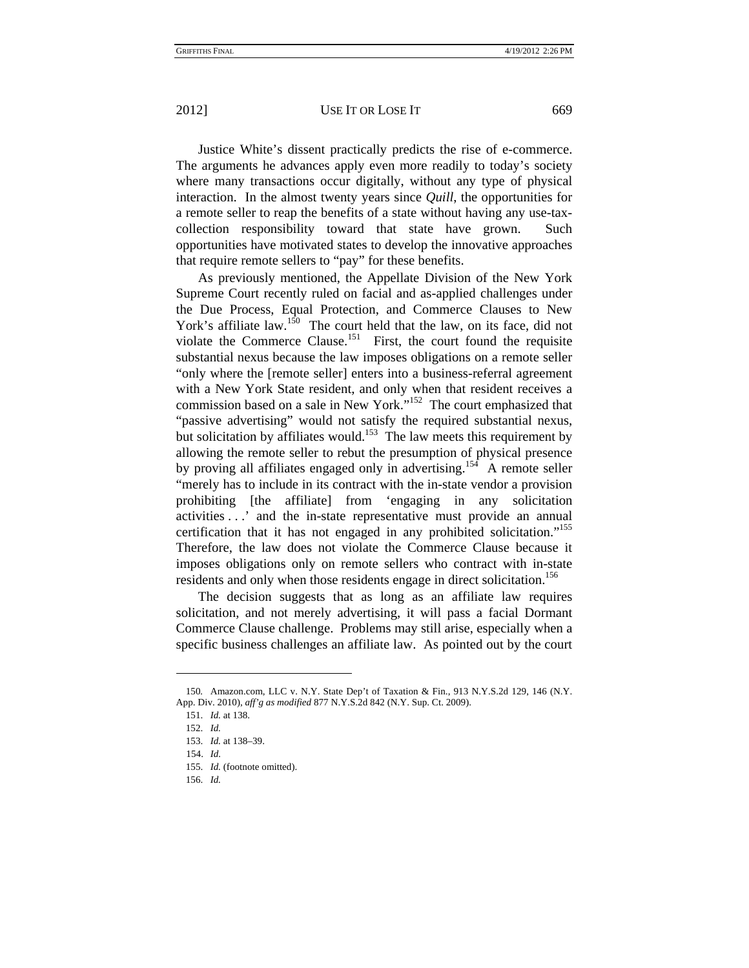Justice White's dissent practically predicts the rise of e-commerce. The arguments he advances apply even more readily to today's society where many transactions occur digitally, without any type of physical interaction. In the almost twenty years since *Quill*, the opportunities for a remote seller to reap the benefits of a state without having any use-taxcollection responsibility toward that state have grown. Such opportunities have motivated states to develop the innovative approaches that require remote sellers to "pay" for these benefits.

As previously mentioned, the Appellate Division of the New York Supreme Court recently ruled on facial and as-applied challenges under the Due Process, Equal Protection, and Commerce Clauses to New York's affiliate law.<sup>150</sup> The court held that the law, on its face, did not violate the Commerce Clause.<sup>151</sup> First, the court found the requisite substantial nexus because the law imposes obligations on a remote seller "only where the [remote seller] enters into a business-referral agreement with a New York State resident, and only when that resident receives a commission based on a sale in New York."152 The court emphasized that "passive advertising" would not satisfy the required substantial nexus, but solicitation by affiliates would.<sup>153</sup> The law meets this requirement by allowing the remote seller to rebut the presumption of physical presence by proving all affiliates engaged only in advertising.<sup>154</sup> A remote seller "merely has to include in its contract with the in-state vendor a provision prohibiting [the affiliate] from 'engaging in any solicitation activities . . .' and the in-state representative must provide an annual certification that it has not engaged in any prohibited solicitation."155 Therefore, the law does not violate the Commerce Clause because it imposes obligations only on remote sellers who contract with in-state residents and only when those residents engage in direct solicitation.<sup>156</sup>

The decision suggests that as long as an affiliate law requires solicitation, and not merely advertising, it will pass a facial Dormant Commerce Clause challenge. Problems may still arise, especially when a specific business challenges an affiliate law. As pointed out by the court

 <sup>150</sup>*.* Amazon.com, LLC v. N.Y. State Dep't of Taxation & Fin., 913 N.Y.S.2d 129, 146 (N.Y. App. Div. 2010), *aff'g as modified* 877 N.Y.S.2d 842 (N.Y. Sup. Ct. 2009).

<sup>151.</sup> *Id.* at 138.

<sup>152.</sup> *Id.*

<sup>153.</sup> *Id.* at 138–39.

 <sup>154.</sup> *Id.* 

<sup>155.</sup> *Id.* (footnote omitted).

<sup>156.</sup> *Id.*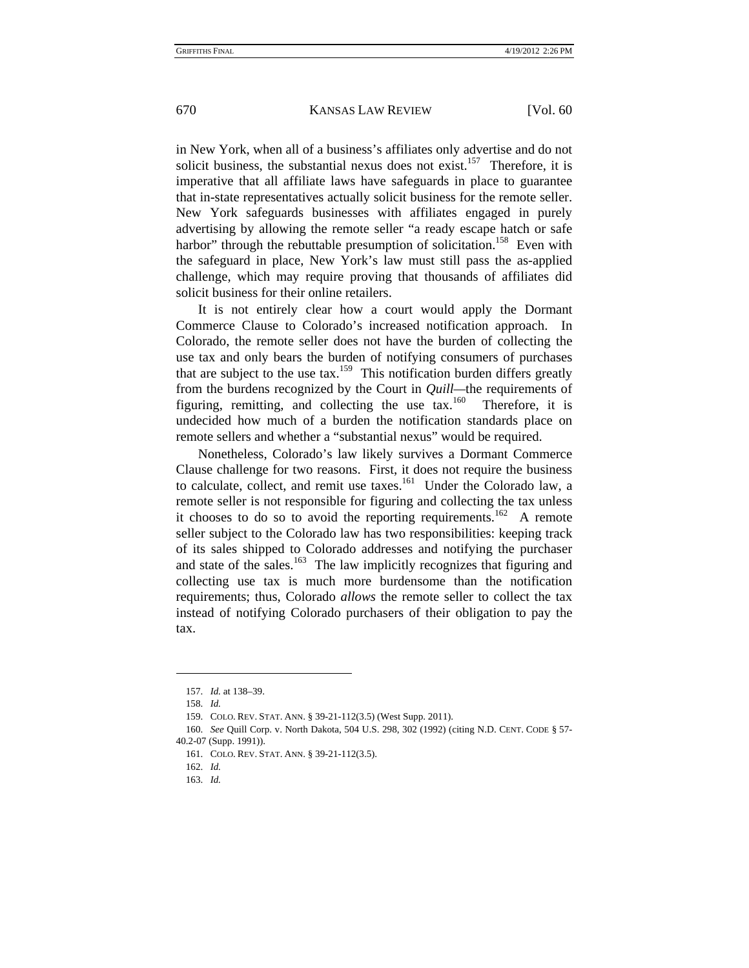in New York, when all of a business's affiliates only advertise and do not solicit business, the substantial nexus does not exist.<sup>157</sup> Therefore, it is imperative that all affiliate laws have safeguards in place to guarantee that in-state representatives actually solicit business for the remote seller. New York safeguards businesses with affiliates engaged in purely advertising by allowing the remote seller "a ready escape hatch or safe harbor" through the rebuttable presumption of solicitation.<sup>158</sup> Even with the safeguard in place, New York's law must still pass the as-applied challenge, which may require proving that thousands of affiliates did solicit business for their online retailers.

It is not entirely clear how a court would apply the Dormant Commerce Clause to Colorado's increased notification approach. In Colorado, the remote seller does not have the burden of collecting the use tax and only bears the burden of notifying consumers of purchases that are subject to the use tax.<sup>159</sup> This notification burden differs greatly from the burdens recognized by the Court in *Quill—*the requirements of figuring, remitting, and collecting the use  $tax.^{160}$  Therefore, it is undecided how much of a burden the notification standards place on remote sellers and whether a "substantial nexus" would be required.

Nonetheless, Colorado's law likely survives a Dormant Commerce Clause challenge for two reasons. First, it does not require the business to calculate, collect, and remit use taxes.<sup>161</sup> Under the Colorado law, a remote seller is not responsible for figuring and collecting the tax unless it chooses to do so to avoid the reporting requirements.<sup>162</sup> A remote seller subject to the Colorado law has two responsibilities: keeping track of its sales shipped to Colorado addresses and notifying the purchaser and state of the sales.<sup>163</sup> The law implicitly recognizes that figuring and collecting use tax is much more burdensome than the notification requirements; thus, Colorado *allows* the remote seller to collect the tax instead of notifying Colorado purchasers of their obligation to pay the tax.

<sup>157.</sup> *Id.* at 138–39.

<sup>158.</sup> *Id.*

 <sup>159.</sup> COLO. REV. STAT. ANN. § 39-21-112(3.5) (West Supp. 2011).

<sup>160.</sup> *See* Quill Corp. v. North Dakota, 504 U.S. 298, 302 (1992) (citing N.D. CENT. CODE § 57- 40.2-07 (Supp. 1991)).

 <sup>161.</sup> COLO. REV. STAT. ANN. § 39-21-112(3.5).

<sup>162.</sup> *Id.*

<sup>163.</sup> *Id.*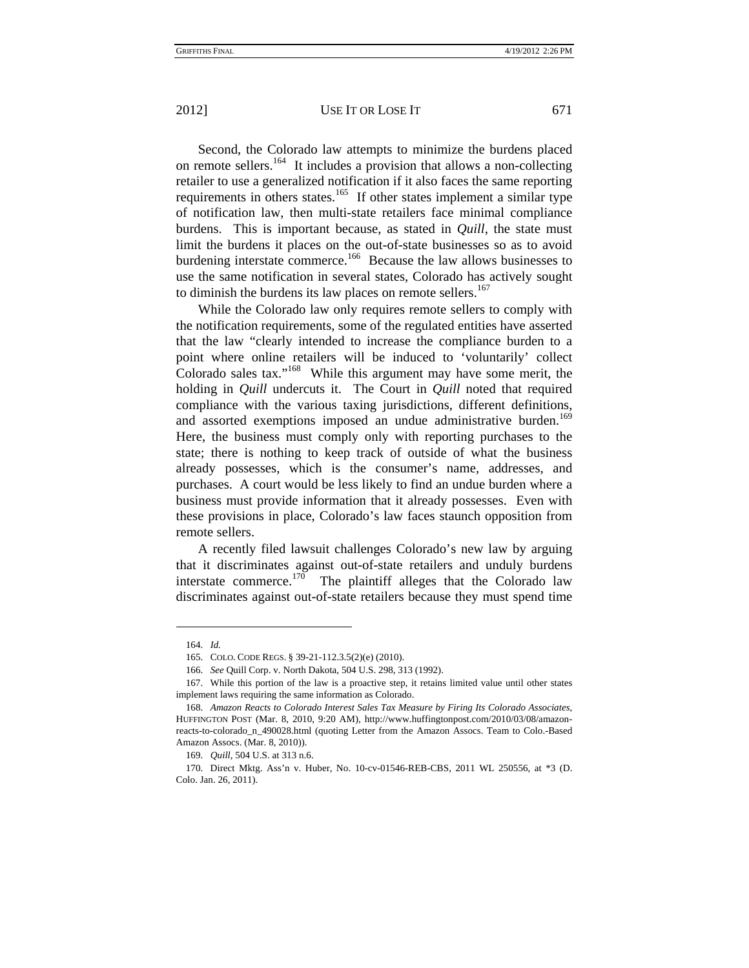Second, the Colorado law attempts to minimize the burdens placed on remote sellers.164 It includes a provision that allows a non-collecting retailer to use a generalized notification if it also faces the same reporting requirements in others states.<sup>165</sup> If other states implement a similar type of notification law, then multi-state retailers face minimal compliance burdens. This is important because, as stated in *Quill*, the state must limit the burdens it places on the out-of-state businesses so as to avoid burdening interstate commerce.<sup>166</sup> Because the law allows businesses to use the same notification in several states, Colorado has actively sought to diminish the burdens its law places on remote sellers.<sup>167</sup>

While the Colorado law only requires remote sellers to comply with the notification requirements, some of the regulated entities have asserted that the law "clearly intended to increase the compliance burden to a point where online retailers will be induced to 'voluntarily' collect Colorado sales tax."<sup>168</sup> While this argument may have some merit, the holding in *Quill* undercuts it. The Court in *Quill* noted that required compliance with the various taxing jurisdictions, different definitions, and assorted exemptions imposed an undue administrative burden.<sup>169</sup> Here, the business must comply only with reporting purchases to the state; there is nothing to keep track of outside of what the business already possesses, which is the consumer's name, addresses, and purchases. A court would be less likely to find an undue burden where a business must provide information that it already possesses. Even with these provisions in place, Colorado's law faces staunch opposition from remote sellers.

A recently filed lawsuit challenges Colorado's new law by arguing that it discriminates against out-of-state retailers and unduly burdens interstate commerce.<sup>170</sup> The plaintiff alleges that the Colorado law discriminates against out-of-state retailers because they must spend time

<sup>164.</sup> *Id.*

 <sup>165.</sup> COLO. CODE REGS. § 39-21-112.3.5(2)(e) (2010).

<sup>166.</sup> *See* Quill Corp. v. North Dakota, 504 U.S. 298, 313 (1992).

 <sup>167.</sup> While this portion of the law is a proactive step, it retains limited value until other states implement laws requiring the same information as Colorado.

<sup>168.</sup> *Amazon Reacts to Colorado Interest Sales Tax Measure by Firing Its Colorado Associates*, HUFFINGTON POST (Mar. 8, 2010, 9:20 AM), http://www.huffingtonpost.com/2010/03/08/amazonreacts-to-colorado\_n\_490028.html (quoting Letter from the Amazon Assocs. Team to Colo.-Based Amazon Assocs. (Mar. 8, 2010)).

<sup>169.</sup> *Quill*, 504 U.S. at 313 n.6.

 <sup>170.</sup> Direct Mktg. Ass'n v. Huber, No. 10-cv-01546-REB-CBS, 2011 WL 250556, at \*3 (D. Colo. Jan. 26, 2011).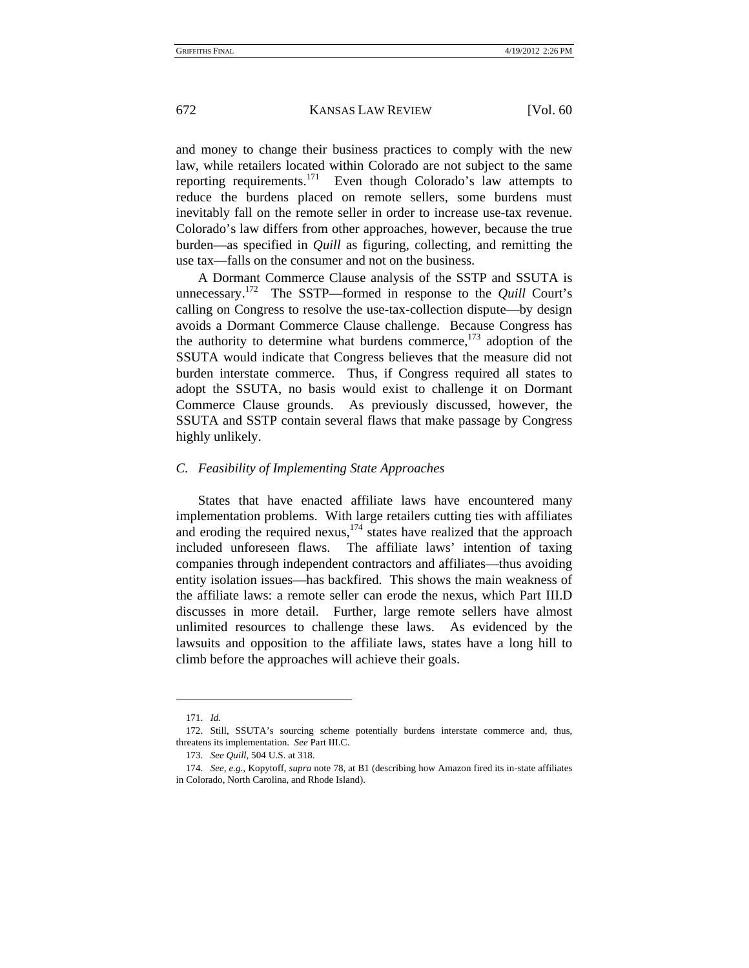and money to change their business practices to comply with the new law, while retailers located within Colorado are not subject to the same reporting requirements.<sup>171</sup> Even though Colorado's law attempts to reduce the burdens placed on remote sellers, some burdens must inevitably fall on the remote seller in order to increase use-tax revenue. Colorado's law differs from other approaches, however, because the true burden—as specified in *Quill* as figuring, collecting, and remitting the use tax—falls on the consumer and not on the business.

A Dormant Commerce Clause analysis of the SSTP and SSUTA is unnecessary.<sup>172</sup> The SSTP—formed in response to the *Quill* Court's calling on Congress to resolve the use-tax-collection dispute—by design avoids a Dormant Commerce Clause challenge. Because Congress has the authority to determine what burdens commerce,  $173$  adoption of the SSUTA would indicate that Congress believes that the measure did not burden interstate commerce. Thus, if Congress required all states to adopt the SSUTA, no basis would exist to challenge it on Dormant Commerce Clause grounds. As previously discussed, however, the SSUTA and SSTP contain several flaws that make passage by Congress highly unlikely.

### *C. Feasibility of Implementing State Approaches*

States that have enacted affiliate laws have encountered many implementation problems. With large retailers cutting ties with affiliates and eroding the required nexus,  $174$  states have realized that the approach included unforeseen flaws. The affiliate laws' intention of taxing companies through independent contractors and affiliates—thus avoiding entity isolation issues—has backfired. This shows the main weakness of the affiliate laws: a remote seller can erode the nexus, which Part III.D discusses in more detail. Further, large remote sellers have almost unlimited resources to challenge these laws. As evidenced by the lawsuits and opposition to the affiliate laws, states have a long hill to climb before the approaches will achieve their goals.

<sup>171.</sup> *Id.*

 <sup>172.</sup> Still, SSUTA's sourcing scheme potentially burdens interstate commerce and, thus, threatens its implementation. *See* Part III.C.

<sup>173.</sup> *See Quill*, 504 U.S. at 318.

<sup>174.</sup> *See, e.g.*, Kopytoff, *supra* note 78, at B1 (describing how Amazon fired its in-state affiliates in Colorado, North Carolina, and Rhode Island).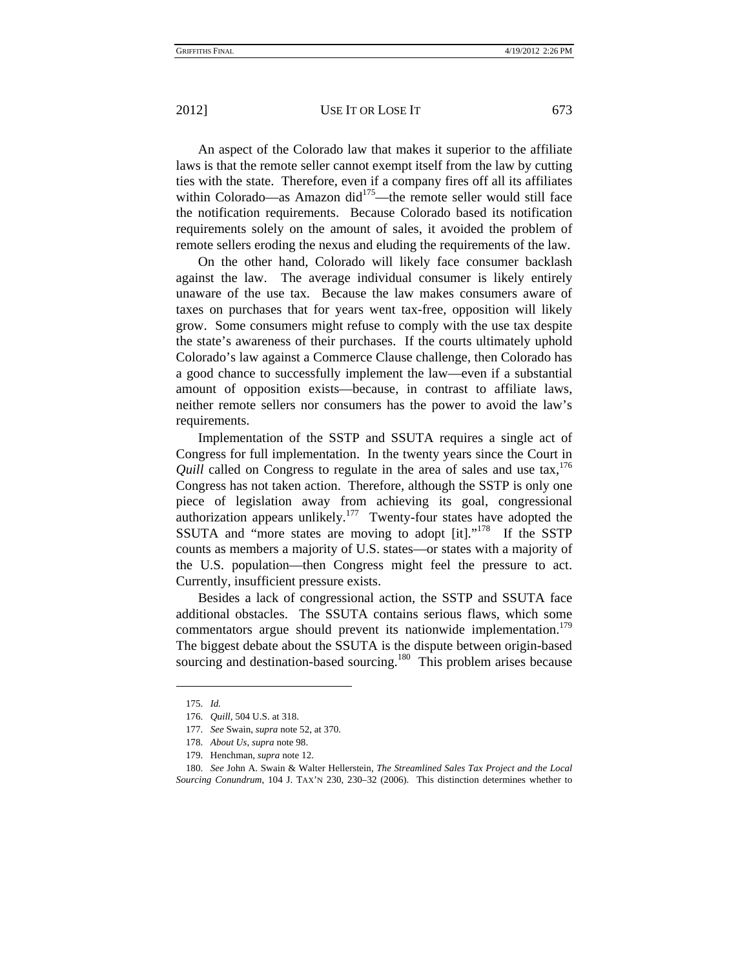An aspect of the Colorado law that makes it superior to the affiliate laws is that the remote seller cannot exempt itself from the law by cutting ties with the state. Therefore, even if a company fires off all its affiliates within Colorado—as Amazon did $175$ —the remote seller would still face the notification requirements. Because Colorado based its notification requirements solely on the amount of sales, it avoided the problem of remote sellers eroding the nexus and eluding the requirements of the law.

On the other hand, Colorado will likely face consumer backlash against the law. The average individual consumer is likely entirely unaware of the use tax. Because the law makes consumers aware of taxes on purchases that for years went tax-free, opposition will likely grow. Some consumers might refuse to comply with the use tax despite the state's awareness of their purchases. If the courts ultimately uphold Colorado's law against a Commerce Clause challenge, then Colorado has a good chance to successfully implement the law—even if a substantial amount of opposition exists—because, in contrast to affiliate laws, neither remote sellers nor consumers has the power to avoid the law's requirements.

Implementation of the SSTP and SSUTA requires a single act of Congress for full implementation. In the twenty years since the Court in *Quill* called on Congress to regulate in the area of sales and use tax,<sup>176</sup> Congress has not taken action. Therefore, although the SSTP is only one piece of legislation away from achieving its goal, congressional authorization appears unlikely.<sup>177</sup> Twenty-four states have adopted the SSUTA and "more states are moving to adopt [it]."<sup>178</sup> If the SSTP counts as members a majority of U.S. states—or states with a majority of the U.S. population—then Congress might feel the pressure to act. Currently, insufficient pressure exists.

Besides a lack of congressional action, the SSTP and SSUTA face additional obstacles. The SSUTA contains serious flaws, which some commentators argue should prevent its nationwide implementation.<sup>179</sup> The biggest debate about the SSUTA is the dispute between origin-based sourcing and destination-based sourcing.<sup>180</sup> This problem arises because

<sup>175.</sup> *Id.*

<sup>176.</sup> *Quill*, 504 U.S. at 318.

<sup>177.</sup> *See* Swain, *supra* note 52, at 370.

<sup>178.</sup> *About Us*, *supra* note 98.

 <sup>179.</sup> Henchman, *supra* note 12.

<sup>180.</sup> *See* John A. Swain & Walter Hellerstein, *The Streamlined Sales Tax Project and the Local Sourcing Conundrum*, 104 J. TAX'N 230, 230–32 (2006). This distinction determines whether to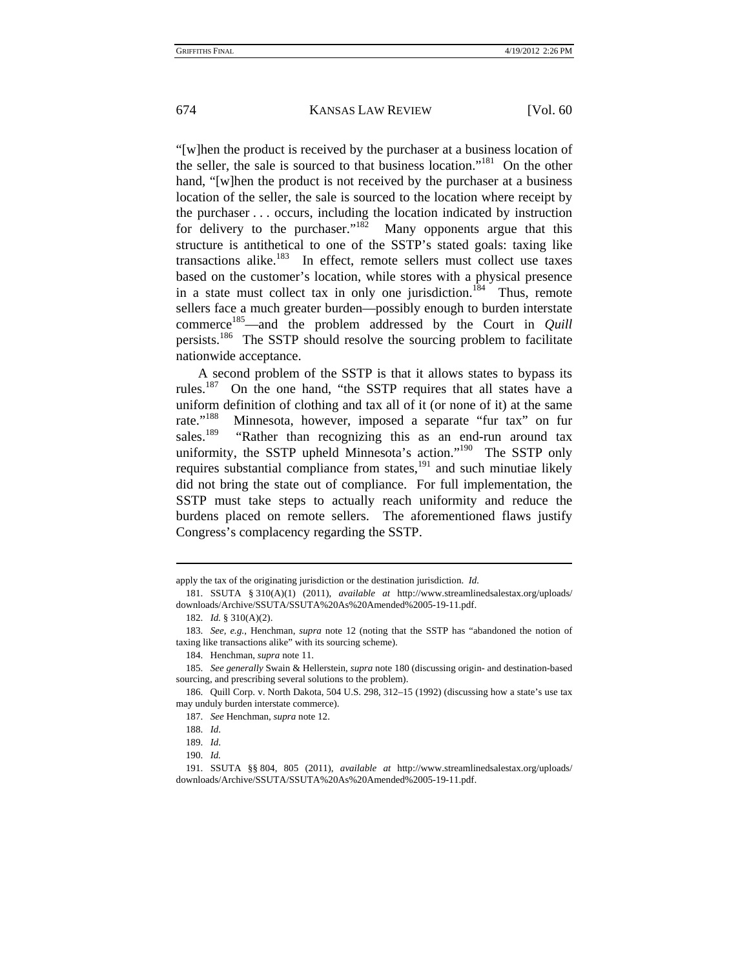"[w]hen the product is received by the purchaser at a business location of the seller, the sale is sourced to that business location."181 On the other hand, "[w]hen the product is not received by the purchaser at a business location of the seller, the sale is sourced to the location where receipt by the purchaser . . . occurs, including the location indicated by instruction for delivery to the purchaser." $182$  Many opponents argue that this structure is antithetical to one of the SSTP's stated goals: taxing like transactions alike. $183$  In effect, remote sellers must collect use taxes based on the customer's location, while stores with a physical presence in a state must collect tax in only one jurisdiction.<sup>184</sup> Thus, remote sellers face a much greater burden—possibly enough to burden interstate commerce<sup>185</sup>—and the problem addressed by the Court in *Quill* persists.<sup>186</sup> The SSTP should resolve the sourcing problem to facilitate nationwide acceptance.

A second problem of the SSTP is that it allows states to bypass its rules.187 On the one hand, "the SSTP requires that all states have a uniform definition of clothing and tax all of it (or none of it) at the same rate."<sup>188</sup> Minnesota, however, imposed a separate "fur tax" on fur sales.<sup>189</sup> "Rather than recognizing this as an end-run around tax "Rather than recognizing this as an end-run around tax uniformity, the SSTP upheld Minnesota's action."<sup>190</sup> The SSTP only requires substantial compliance from states, $191$  and such minutiae likely did not bring the state out of compliance. For full implementation, the SSTP must take steps to actually reach uniformity and reduce the burdens placed on remote sellers. The aforementioned flaws justify Congress's complacency regarding the SSTP.

apply the tax of the originating jurisdiction or the destination jurisdiction. *Id.*

 <sup>181.</sup> SSUTA § 310(A)(1) (2011), *available at* http://www.streamlinedsalestax.org/uploads/ downloads/Archive/SSUTA/SSUTA%20As%20Amended%2005-19-11.pdf.

<sup>182.</sup> *Id.* § 310(A)(2).

<sup>183.</sup> *See, e.g.*, Henchman, *supra* note 12 (noting that the SSTP has "abandoned the notion of taxing like transactions alike" with its sourcing scheme).

 <sup>184.</sup> Henchman, *supra* note 11.

<sup>185.</sup> *See generally* Swain & Hellerstein, *supra* note 180 (discussing origin- and destination-based sourcing, and prescribing several solutions to the problem).

 <sup>186.</sup> Quill Corp. v. North Dakota, 504 U.S. 298, 312–15 (1992) (discussing how a state's use tax may unduly burden interstate commerce).

<sup>187.</sup> *See* Henchman, *supra* note 12.

<sup>188.</sup> *Id*.

<sup>189.</sup> *Id*.

<sup>190.</sup> *Id.*

 <sup>191.</sup> SSUTA §§ 804, 805 (2011), *available at* http://www.streamlinedsalestax.org/uploads/ downloads/Archive/SSUTA/SSUTA%20As%20Amended%2005-19-11.pdf.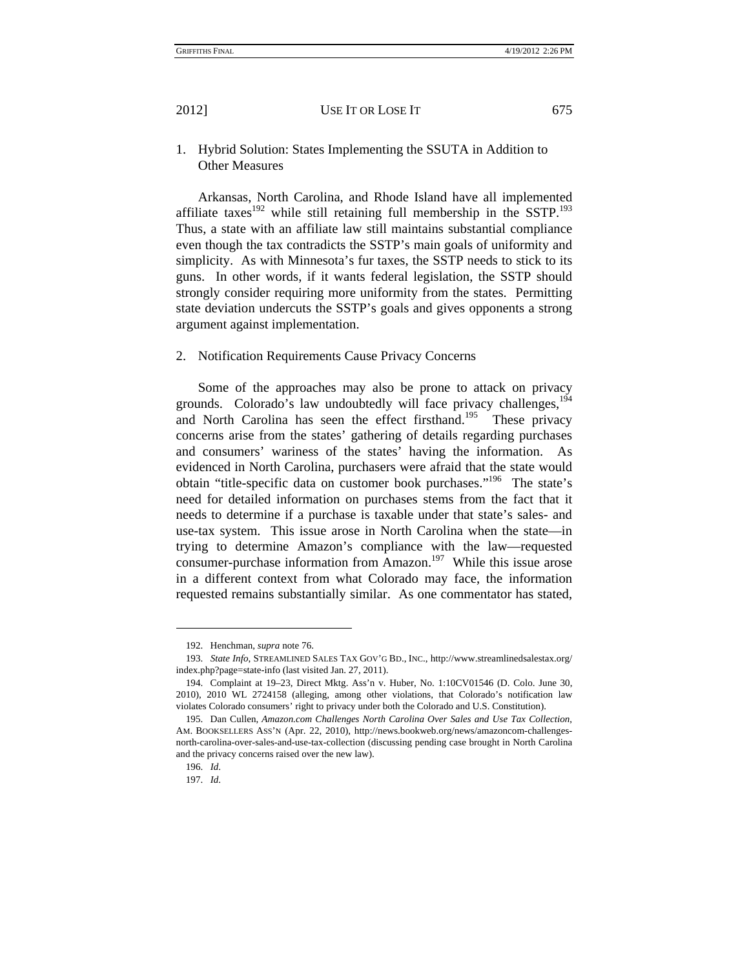# 1. Hybrid Solution: States Implementing the SSUTA in Addition to Other Measures

Arkansas, North Carolina, and Rhode Island have all implemented affiliate taxes<sup>192</sup> while still retaining full membership in the SSTP.<sup>193</sup> Thus, a state with an affiliate law still maintains substantial compliance even though the tax contradicts the SSTP's main goals of uniformity and simplicity. As with Minnesota's fur taxes, the SSTP needs to stick to its guns. In other words, if it wants federal legislation, the SSTP should strongly consider requiring more uniformity from the states. Permitting state deviation undercuts the SSTP's goals and gives opponents a strong argument against implementation.

### 2. Notification Requirements Cause Privacy Concerns

Some of the approaches may also be prone to attack on privacy grounds. Colorado's law undoubtedly will face privacy challenges, <sup>194</sup> and North Carolina has seen the effect firsthand.<sup>195</sup> These privacy concerns arise from the states' gathering of details regarding purchases and consumers' wariness of the states' having the information. As evidenced in North Carolina, purchasers were afraid that the state would obtain "title-specific data on customer book purchases."196 The state's need for detailed information on purchases stems from the fact that it needs to determine if a purchase is taxable under that state's sales- and use-tax system. This issue arose in North Carolina when the state—in trying to determine Amazon's compliance with the law—requested consumer-purchase information from Amazon.<sup>197</sup> While this issue arose in a different context from what Colorado may face, the information requested remains substantially similar. As one commentator has stated,

 <sup>192.</sup> Henchman, *supra* note 76.

<sup>193.</sup> *State Info*, STREAMLINED SALES TAX GOV'G BD., INC., http://www.streamlinedsalestax.org/ index.php?page=state-info (last visited Jan. 27, 2011).

 <sup>194.</sup> Complaint at 19–23, Direct Mktg. Ass'n v. Huber, No. 1:10CV01546 (D. Colo. June 30, 2010), 2010 WL 2724158 (alleging, among other violations, that Colorado's notification law violates Colorado consumers' right to privacy under both the Colorado and U.S. Constitution).

 <sup>195.</sup> Dan Cullen, *Amazon.com Challenges North Carolina Over Sales and Use Tax Collection*, AM. BOOKSELLERS ASS'N (Apr. 22, 2010), http://news.bookweb.org/news/amazoncom-challengesnorth-carolina-over-sales-and-use-tax-collection (discussing pending case brought in North Carolina and the privacy concerns raised over the new law).

<sup>196.</sup> *Id*.

<sup>197.</sup> *Id*.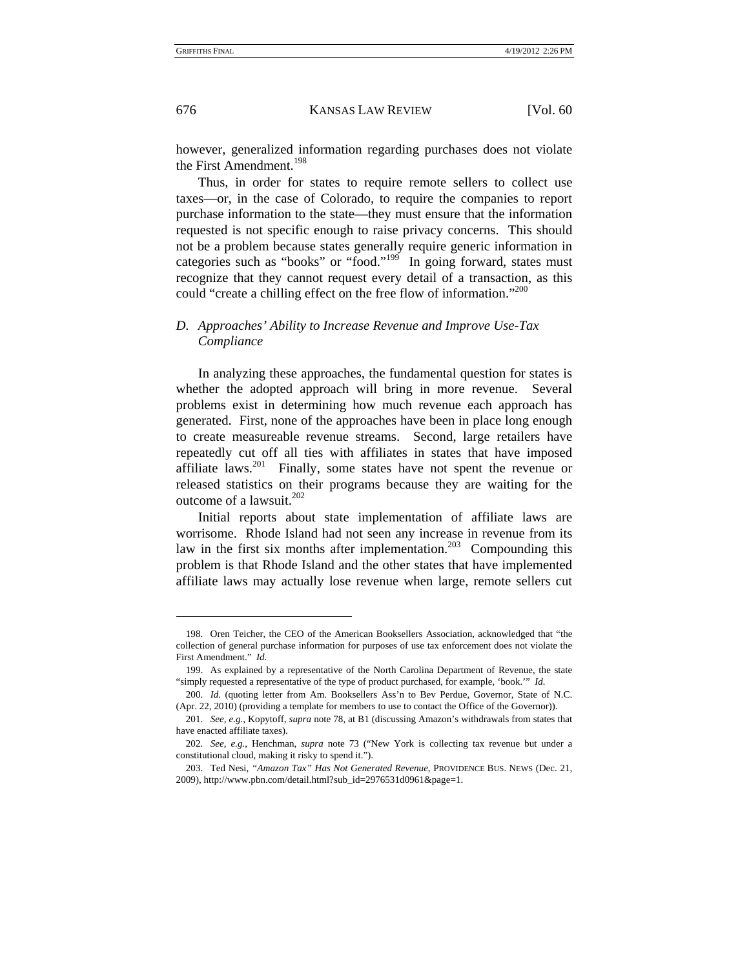$\overline{a}$ 

676 KANSAS LAW REVIEW [Vol. 60

however, generalized information regarding purchases does not violate the First Amendment.<sup>198</sup>

Thus, in order for states to require remote sellers to collect use taxes—or, in the case of Colorado, to require the companies to report purchase information to the state—they must ensure that the information requested is not specific enough to raise privacy concerns. This should not be a problem because states generally require generic information in categories such as "books" or "food."<sup>199</sup> In going forward, states must recognize that they cannot request every detail of a transaction, as this could "create a chilling effect on the free flow of information."<sup>200</sup>

# *D. Approaches' Ability to Increase Revenue and Improve Use-Tax Compliance*

In analyzing these approaches, the fundamental question for states is whether the adopted approach will bring in more revenue. Several problems exist in determining how much revenue each approach has generated. First, none of the approaches have been in place long enough to create measureable revenue streams. Second, large retailers have repeatedly cut off all ties with affiliates in states that have imposed affiliate laws.<sup>201</sup> Finally, some states have not spent the revenue or released statistics on their programs because they are waiting for the outcome of a lawsuit. $202$ 

Initial reports about state implementation of affiliate laws are worrisome. Rhode Island had not seen any increase in revenue from its law in the first six months after implementation.<sup>203</sup> Compounding this problem is that Rhode Island and the other states that have implemented affiliate laws may actually lose revenue when large, remote sellers cut

 <sup>198.</sup> Oren Teicher, the CEO of the American Booksellers Association, acknowledged that "the collection of general purchase information for purposes of use tax enforcement does not violate the First Amendment." *Id.*

 <sup>199.</sup> As explained by a representative of the North Carolina Department of Revenue, the state "simply requested a representative of the type of product purchased, for example, 'book.'" *Id.*

<sup>200.</sup> *Id.* (quoting letter from Am. Booksellers Ass'n to Bev Perdue, Governor, State of N.C. (Apr. 22, 2010) (providing a template for members to use to contact the Office of the Governor)).

<sup>201.</sup> *See, e.g.*, Kopytoff, *supra* note 78, at B1 (discussing Amazon's withdrawals from states that have enacted affiliate taxes).

<sup>202.</sup> *See, e.g.*, Henchman, *supra* note 73 ("New York is collecting tax revenue but under a constitutional cloud, making it risky to spend it.").

 <sup>203.</sup> Ted Nesi, *"Amazon Tax" Has Not Generated Revenue*, PROVIDENCE BUS. NEWS (Dec. 21, 2009), http://www.pbn.com/detail.html?sub\_id=2976531d0961&page=1.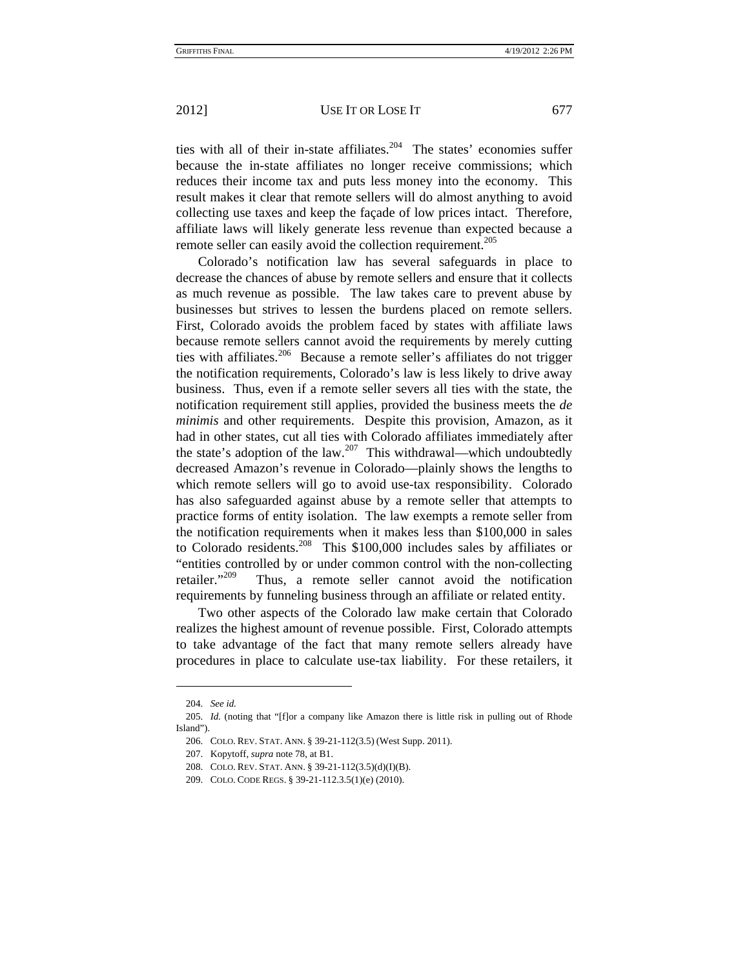ties with all of their in-state affiliates.<sup>204</sup> The states' economies suffer because the in-state affiliates no longer receive commissions; which reduces their income tax and puts less money into the economy. This result makes it clear that remote sellers will do almost anything to avoid collecting use taxes and keep the façade of low prices intact. Therefore, affiliate laws will likely generate less revenue than expected because a remote seller can easily avoid the collection requirement.<sup>205</sup>

Colorado's notification law has several safeguards in place to decrease the chances of abuse by remote sellers and ensure that it collects as much revenue as possible. The law takes care to prevent abuse by businesses but strives to lessen the burdens placed on remote sellers. First, Colorado avoids the problem faced by states with affiliate laws because remote sellers cannot avoid the requirements by merely cutting ties with affiliates.<sup>206</sup> Because a remote seller's affiliates do not trigger the notification requirements, Colorado's law is less likely to drive away business. Thus, even if a remote seller severs all ties with the state, the notification requirement still applies, provided the business meets the *de minimis* and other requirements. Despite this provision, Amazon, as it had in other states, cut all ties with Colorado affiliates immediately after the state's adoption of the law.<sup>207</sup> This withdrawal—which undoubtedly decreased Amazon's revenue in Colorado—plainly shows the lengths to which remote sellers will go to avoid use-tax responsibility. Colorado has also safeguarded against abuse by a remote seller that attempts to practice forms of entity isolation. The law exempts a remote seller from the notification requirements when it makes less than \$100,000 in sales to Colorado residents.208 This \$100,000 includes sales by affiliates or "entities controlled by or under common control with the non-collecting retailer."<sup>209</sup> Thus, a remote seller cannot avoid the notification requirements by funneling business through an affiliate or related entity.

Two other aspects of the Colorado law make certain that Colorado realizes the highest amount of revenue possible. First, Colorado attempts to take advantage of the fact that many remote sellers already have procedures in place to calculate use-tax liability. For these retailers, it

<sup>204.</sup> *See id.*

<sup>205.</sup> *Id.* (noting that "[f]or a company like Amazon there is little risk in pulling out of Rhode Island").

 <sup>206.</sup> COLO. REV. STAT. ANN. § 39-21-112(3.5) (West Supp. 2011).

 <sup>207.</sup> Kopytoff, *supra* note 78, at B1.

 <sup>208.</sup> COLO. REV. STAT. ANN. § 39-21-112(3.5)(d)(I)(B).

 <sup>209.</sup> COLO. CODE REGS. § 39-21-112.3.5(1)(e) (2010).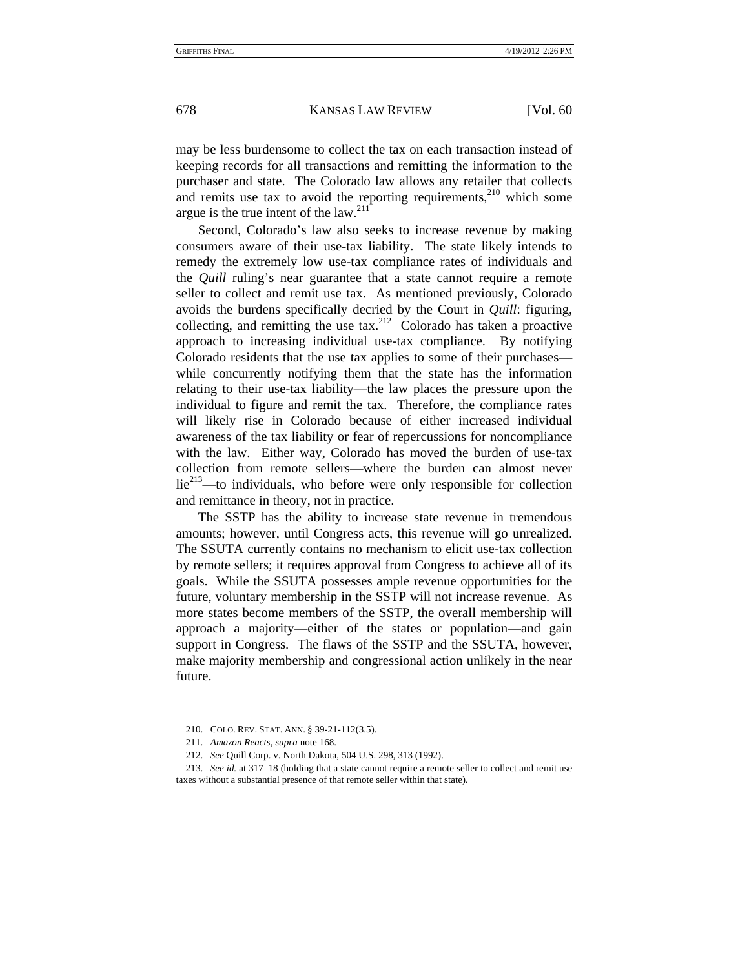may be less burdensome to collect the tax on each transaction instead of keeping records for all transactions and remitting the information to the purchaser and state. The Colorado law allows any retailer that collects and remits use tax to avoid the reporting requirements, $^{210}$  which some argue is the true intent of the law.<sup>211</sup>

Second, Colorado's law also seeks to increase revenue by making consumers aware of their use-tax liability. The state likely intends to remedy the extremely low use-tax compliance rates of individuals and the *Quill* ruling's near guarantee that a state cannot require a remote seller to collect and remit use tax. As mentioned previously, Colorado avoids the burdens specifically decried by the Court in *Quill*: figuring, collecting, and remitting the use  $\text{tax.}^{212}$  Colorado has taken a proactive approach to increasing individual use-tax compliance. By notifying Colorado residents that the use tax applies to some of their purchases while concurrently notifying them that the state has the information relating to their use-tax liability—the law places the pressure upon the individual to figure and remit the tax. Therefore, the compliance rates will likely rise in Colorado because of either increased individual awareness of the tax liability or fear of repercussions for noncompliance with the law. Either way, Colorado has moved the burden of use-tax collection from remote sellers—where the burden can almost never  $lie<sup>213</sup>$ —to individuals, who before were only responsible for collection and remittance in theory, not in practice.

The SSTP has the ability to increase state revenue in tremendous amounts; however, until Congress acts, this revenue will go unrealized. The SSUTA currently contains no mechanism to elicit use-tax collection by remote sellers; it requires approval from Congress to achieve all of its goals. While the SSUTA possesses ample revenue opportunities for the future, voluntary membership in the SSTP will not increase revenue. As more states become members of the SSTP, the overall membership will approach a majority—either of the states or population—and gain support in Congress. The flaws of the SSTP and the SSUTA, however, make majority membership and congressional action unlikely in the near future.

 <sup>210.</sup> COLO. REV. STAT. ANN. § 39-21-112(3.5).

<sup>211.</sup> *Amazon Reacts*, *supra* note 168.

<sup>212.</sup> *See* Quill Corp. v. North Dakota, 504 U.S. 298, 313 (1992).

<sup>213.</sup> *See id.* at 317–18 (holding that a state cannot require a remote seller to collect and remit use taxes without a substantial presence of that remote seller within that state).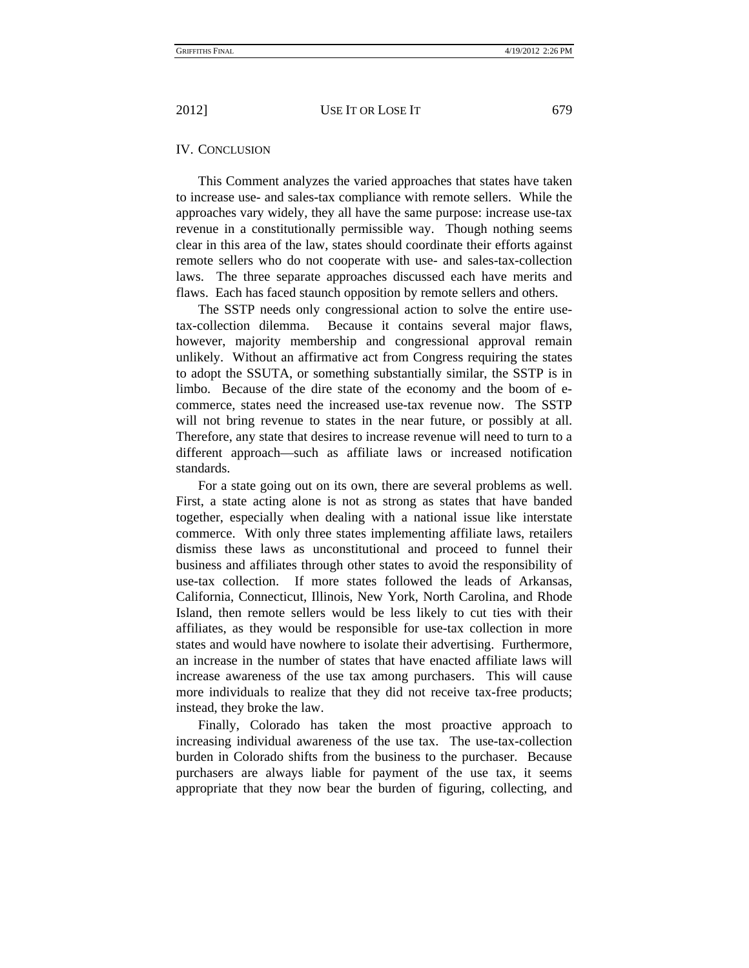# IV. CONCLUSION

This Comment analyzes the varied approaches that states have taken to increase use- and sales-tax compliance with remote sellers. While the approaches vary widely, they all have the same purpose: increase use-tax revenue in a constitutionally permissible way. Though nothing seems clear in this area of the law, states should coordinate their efforts against remote sellers who do not cooperate with use- and sales-tax-collection laws. The three separate approaches discussed each have merits and flaws. Each has faced staunch opposition by remote sellers and others.

The SSTP needs only congressional action to solve the entire usetax-collection dilemma. Because it contains several major flaws, however, majority membership and congressional approval remain unlikely. Without an affirmative act from Congress requiring the states to adopt the SSUTA, or something substantially similar, the SSTP is in limbo. Because of the dire state of the economy and the boom of ecommerce, states need the increased use-tax revenue now. The SSTP will not bring revenue to states in the near future, or possibly at all. Therefore, any state that desires to increase revenue will need to turn to a different approach—such as affiliate laws or increased notification standards.

For a state going out on its own, there are several problems as well. First, a state acting alone is not as strong as states that have banded together, especially when dealing with a national issue like interstate commerce. With only three states implementing affiliate laws, retailers dismiss these laws as unconstitutional and proceed to funnel their business and affiliates through other states to avoid the responsibility of use-tax collection. If more states followed the leads of Arkansas, California, Connecticut, Illinois, New York, North Carolina, and Rhode Island, then remote sellers would be less likely to cut ties with their affiliates, as they would be responsible for use-tax collection in more states and would have nowhere to isolate their advertising. Furthermore, an increase in the number of states that have enacted affiliate laws will increase awareness of the use tax among purchasers. This will cause more individuals to realize that they did not receive tax-free products; instead, they broke the law.

Finally, Colorado has taken the most proactive approach to increasing individual awareness of the use tax. The use-tax-collection burden in Colorado shifts from the business to the purchaser. Because purchasers are always liable for payment of the use tax, it seems appropriate that they now bear the burden of figuring, collecting, and